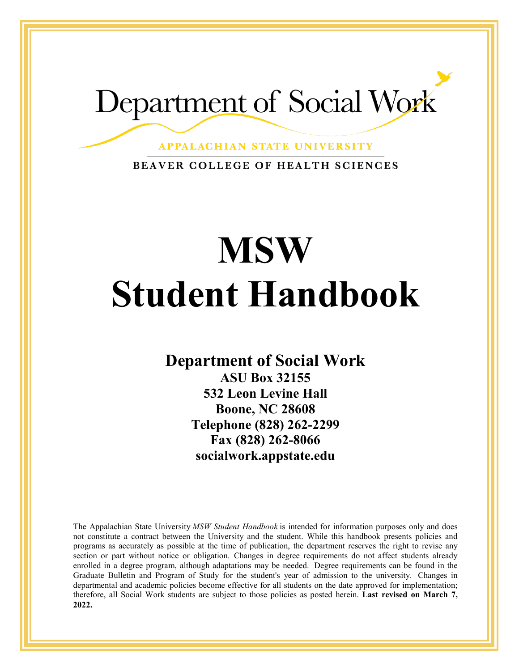# Department of Social Work

**APPALACHIAN STATE UNIVERSITY** 

BEAVER COLLEGE OF HEALTH SCIENCES

# **MSW Student Handbook**

**Department of Social Work**

**ASU Box 32155 532 Leon Levine Hall Boone, NC 28608 Telephone (828) 262-2299 Fax (828) 262-8066 socialwork.appstate.edu**

The Appalachian State University *MSW Student Handbook* is intended for information purposes only and does not constitute a contract between the University and the student. While this handbook presents policies and programs as accurately as possible at the time of publication, the department reserves the right to revise any section or part without notice or obligation. Changes in degree requirements do not affect students already enrolled in a degree program, although adaptations may be needed. Degree requirements can be found in the Graduate Bulletin and Program of Study for the student's year of admission to the university. Changes in departmental and academic policies become effective for all students on the date approved for implementation; therefore, all Social Work students are subject to those policies as posted herein. **Last revised on March 7, 2022.**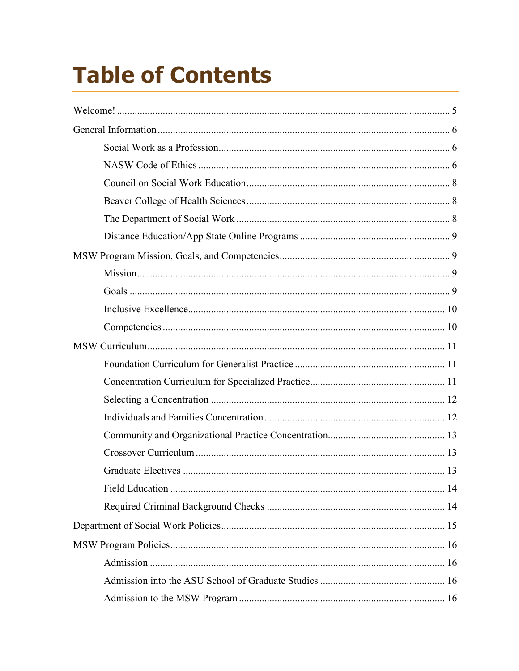# **Table of Contents**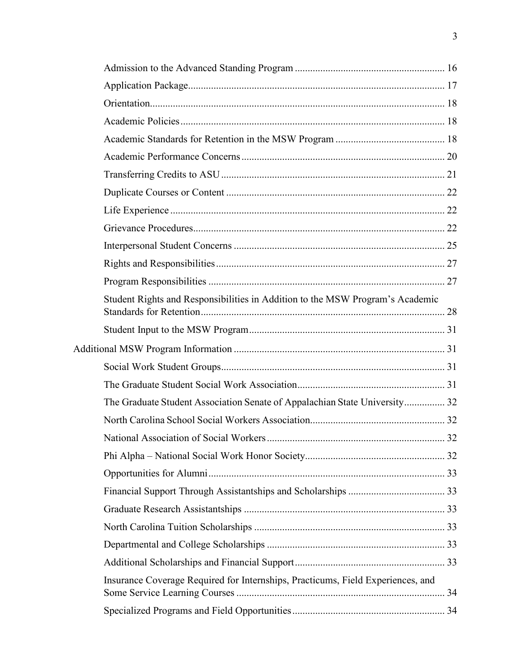| Student Rights and Responsibilities in Addition to the MSW Program's Academic   |  |
|---------------------------------------------------------------------------------|--|
|                                                                                 |  |
|                                                                                 |  |
|                                                                                 |  |
|                                                                                 |  |
| The Graduate Student Association Senate of Appalachian State University 32      |  |
|                                                                                 |  |
|                                                                                 |  |
|                                                                                 |  |
|                                                                                 |  |
|                                                                                 |  |
|                                                                                 |  |
|                                                                                 |  |
|                                                                                 |  |
|                                                                                 |  |
| Insurance Coverage Required for Internships, Practicums, Field Experiences, and |  |
|                                                                                 |  |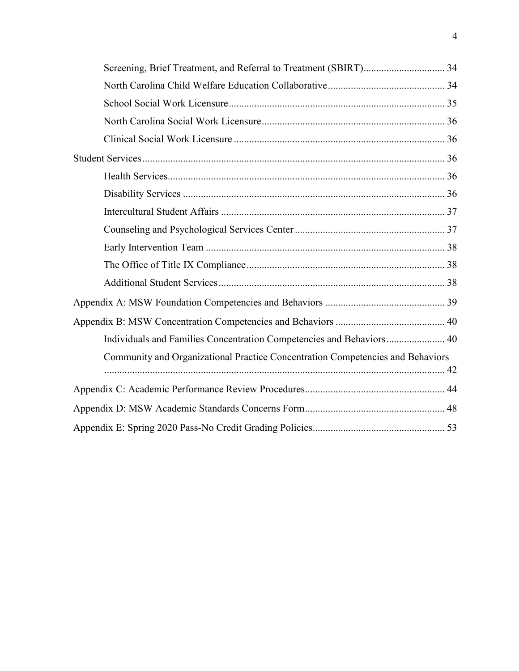| Individuals and Families Concentration Competencies and Behaviors 40           |  |
|--------------------------------------------------------------------------------|--|
| Community and Organizational Practice Concentration Competencies and Behaviors |  |
|                                                                                |  |
|                                                                                |  |
|                                                                                |  |
|                                                                                |  |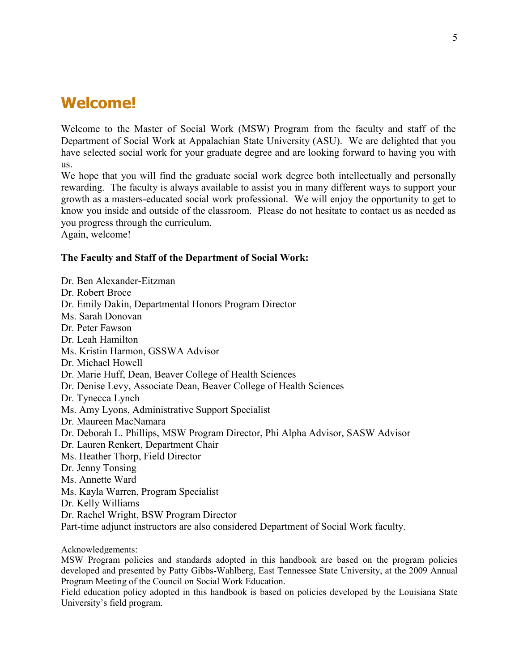# <span id="page-4-0"></span>**Welcome!**

Welcome to the Master of Social Work (MSW) Program from the faculty and staff of the Department of Social Work at Appalachian State University (ASU). We are delighted that you have selected social work for your graduate degree and are looking forward to having you with us.

We hope that you will find the graduate social work degree both intellectually and personally rewarding. The faculty is always available to assist you in many different ways to support your growth as a masters-educated social work professional. We will enjoy the opportunity to get to know you inside and outside of the classroom. Please do not hesitate to contact us as needed as you progress through the curriculum.

Again, welcome!

#### **The Faculty and Staff of the Department of Social Work:**

Dr. Ben Alexander-Eitzman Dr. Robert Broce Dr. Emily Dakin, Departmental Honors Program Director Ms. Sarah Donovan Dr. Peter Fawson Dr. Leah Hamilton Ms. Kristin Harmon, GSSWA Advisor Dr. Michael Howell Dr. Marie Huff, Dean, Beaver College of Health Sciences Dr. Denise Levy, Associate Dean, Beaver College of Health Sciences Dr. Tynecca Lynch Ms. Amy Lyons, Administrative Support Specialist Dr. Maureen MacNamara Dr. Deborah L. Phillips, MSW Program Director, Phi Alpha Advisor, SASW Advisor Dr. Lauren Renkert, Department Chair Ms. Heather Thorp, Field Director Dr. Jenny Tonsing Ms. Annette Ward Ms. Kayla Warren, Program Specialist Dr. Kelly Williams Dr. Rachel Wright, BSW Program Director Part-time adjunct instructors are also considered Department of Social Work faculty.

Acknowledgements:

MSW Program policies and standards adopted in this handbook are based on the program policies developed and presented by Patty Gibbs-Wahlberg, East Tennessee State University, at the 2009 Annual Program Meeting of the Council on Social Work Education.

Field education policy adopted in this handbook is based on policies developed by the Louisiana State University's field program.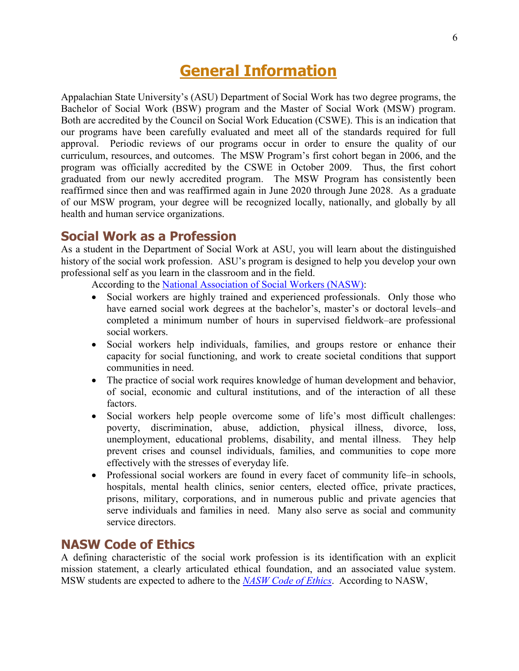# **General Information**

<span id="page-5-0"></span>Appalachian State University's (ASU) Department of Social Work has two degree programs, the Bachelor of Social Work (BSW) program and the Master of Social Work (MSW) program. Both are accredited by the Council on Social Work Education (CSWE). This is an indication that our programs have been carefully evaluated and meet all of the standards required for full approval. Periodic reviews of our programs occur in order to ensure the quality of our curriculum, resources, and outcomes. The MSW Program's first cohort began in 2006, and the program was officially accredited by the CSWE in October 2009. Thus, the first cohort graduated from our newly accredited program. The MSW Program has consistently been reaffirmed since then and was reaffirmed again in June 2020 through June 2028. As a graduate of our MSW program, your degree will be recognized locally, nationally, and globally by all health and human service organizations.

#### <span id="page-5-1"></span>**Social Work as a Profession**

As a student in the Department of Social Work at ASU, you will learn about the distinguished history of the social work profession. ASU's program is designed to help you develop your own professional self as you learn in the classroom and in the field.

According to the [National Association of Social Workers \(NASW\):](https://www.socialworkers.org/Practice)

- Social workers are highly trained and experienced professionals. Only those who have earned social work degrees at the bachelor's, master's or doctoral levels–and completed a minimum number of hours in supervised fieldwork–are professional social workers.
- Social workers help individuals, families, and groups restore or enhance their capacity for social functioning, and work to create societal conditions that support communities in need.
- The practice of social work requires knowledge of human development and behavior, of social, economic and cultural institutions, and of the interaction of all these factors.
- Social workers help people overcome some of life's most difficult challenges: poverty, discrimination, abuse, addiction, physical illness, divorce, loss, unemployment, educational problems, disability, and mental illness. They help prevent crises and counsel individuals, families, and communities to cope more effectively with the stresses of everyday life.
- Professional social workers are found in every facet of community life–in schools, hospitals, mental health clinics, senior centers, elected office, private practices, prisons, military, corporations, and in numerous public and private agencies that serve individuals and families in need. Many also serve as social and community service directors.

#### <span id="page-5-2"></span>**NASW Code of Ethics**

A defining characteristic of the social work profession is its identification with an explicit mission statement, a clearly articulated ethical foundation, and an associated value system. MSW students are expected to adhere to the *[NASW Code of Ethics](https://www.socialworkers.org/About/Ethics/Code-of-Ethics/Code-of-Ethics-English)*. According to NASW,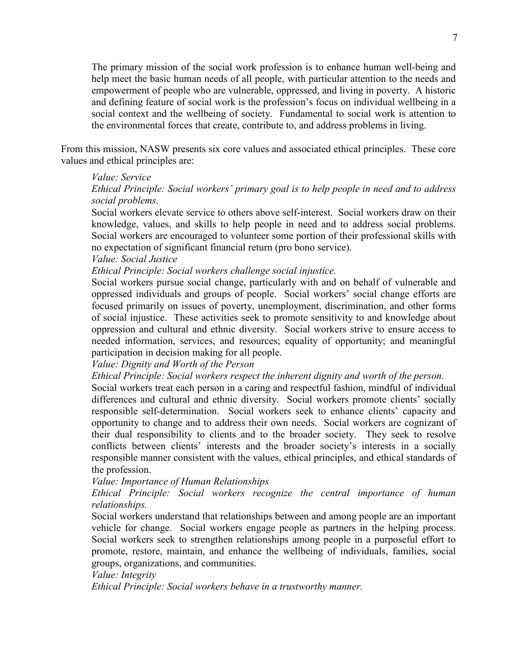The primary mission of the social work profession is to enhance human well-being and help meet the basic human needs of all people, with particular attention to the needs and empowerment of people who are vulnerable, oppressed, and living in poverty. A historic and defining feature of social work is the profession's focus on individual wellbeing in a social context and the wellbeing of society. Fundamental to social work is attention to the environmental forces that create, contribute to, and address problems in living.

From this mission, NASW presents six core values and associated ethical principles. These core values and ethical principles are:

#### *Value: Service*

#### *Ethical Principle: Social workers' primary goal is to help people in need and to address social problems.*

Social workers elevate service to others above self-interest. Social workers draw on their knowledge, values, and skills to help people in need and to address social problems. Social workers are encouraged to volunteer some portion of their professional skills with no expectation of significant financial return (pro bono service).

#### *Value: Social Justice*

*Ethical Principle: Social workers challenge social injustice.*

Social workers pursue social change, particularly with and on behalf of vulnerable and oppressed individuals and groups of people. Social workers' social change efforts are focused primarily on issues of poverty, unemployment, discrimination, and other forms of social injustice. These activities seek to promote sensitivity to and knowledge about oppression and cultural and ethnic diversity. Social workers strive to ensure access to needed information, services, and resources; equality of opportunity; and meaningful participation in decision making for all people.

#### *Value: Dignity and Worth of the Person*

*Ethical Principle: Social workers respect the inherent dignity and worth of the person.* 

Social workers treat each person in a caring and respectful fashion, mindful of individual differences and cultural and ethnic diversity. Social workers promote clients' socially responsible self-determination. Social workers seek to enhance clients' capacity and opportunity to change and to address their own needs. Social workers are cognizant of their dual responsibility to clients and to the broader society. They seek to resolve conflicts between clients' interests and the broader society's interests in a socially responsible manner consistent with the values, ethical principles, and ethical standards of the profession.

#### *Value: Importance of Human Relationships*

*Ethical Principle: Social workers recognize the central importance of human relationships.* 

Social workers understand that relationships between and among people are an important vehicle for change. Social workers engage people as partners in the helping process. Social workers seek to strengthen relationships among people in a purposeful effort to promote, restore, maintain, and enhance the wellbeing of individuals, families, social groups, organizations, and communities.

#### *Value: Integrity*

*Ethical Principle: Social workers behave in a trustworthy manner.*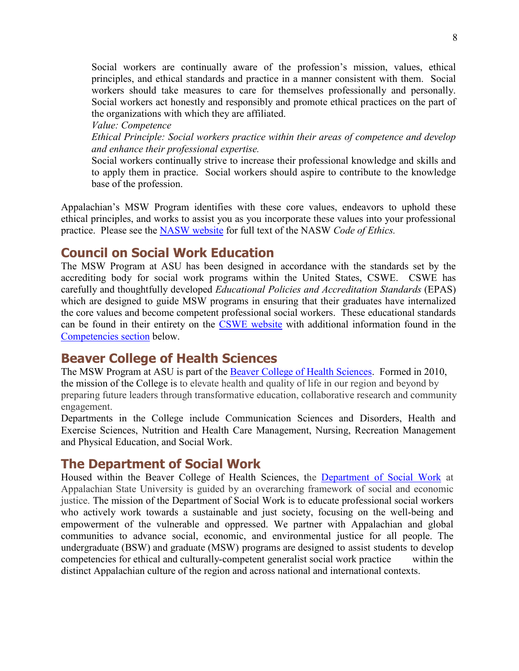Social workers are continually aware of the profession's mission, values, ethical principles, and ethical standards and practice in a manner consistent with them. Social workers should take measures to care for themselves professionally and personally. Social workers act honestly and responsibly and promote ethical practices on the part of the organizations with which they are affiliated.

*Value: Competence Ethical Principle: Social workers practice within their areas of competence and develop and enhance their professional expertise.* 

Social workers continually strive to increase their professional knowledge and skills and to apply them in practice. Social workers should aspire to contribute to the knowledge base of the profession.

Appalachian's MSW Program identifies with these core values, endeavors to uphold these ethical principles, and works to assist you as you incorporate these values into your professional practice. Please see the [NASW website](https://www.socialworkers.org/About/Ethics/Code-of-Ethics) for full text of the NASW *Code of Ethics.*

#### <span id="page-7-0"></span>**Council on Social Work Education**

The MSW Program at ASU has been designed in accordance with the standards set by the accrediting body for social work programs within the United States, CSWE. CSWE has carefully and thoughtfully developed *Educational Policies and Accreditation Standards* (EPAS) which are designed to guide MSW programs in ensuring that their graduates have internalized the core values and become competent professional social workers. These educational standards can be found in their entirety on the [CSWE website](http://www.cswe.org/) with additional information found in the [Competencies](#page-9-1) section below.

### <span id="page-7-1"></span>**Beaver College of Health Sciences**

The MSW Program at ASU is part of the [Beaver College of Health Sciences.](http://healthsciences.appstate.edu/) Formed in 2010, the mission of the College is to elevate health and quality of life in our region and beyond by preparing future leaders through transformative education, collaborative research and community engagement.

Departments in the College include Communication Sciences and Disorders, Health and Exercise Sciences, Nutrition and Health Care Management, Nursing, Recreation Management and Physical Education, and Social Work.

#### <span id="page-7-2"></span>**The Department of Social Work**

Housed within the Beaver College of Health Sciences, the [Department of Social Work](https://socialwork.appstate.edu/) at Appalachian State University is guided by an overarching framework of social and economic justice. The mission of the Department of Social Work is to educate professional social workers who actively work towards a sustainable and just society, focusing on the well-being and empowerment of the vulnerable and oppressed. We partner with Appalachian and global communities to advance social, economic, and environmental justice for all people. The undergraduate (BSW) and graduate (MSW) programs are designed to assist students to develop competencies for ethical and culturally-competent generalist social work practice within the distinct Appalachian culture of the region and across national and international contexts.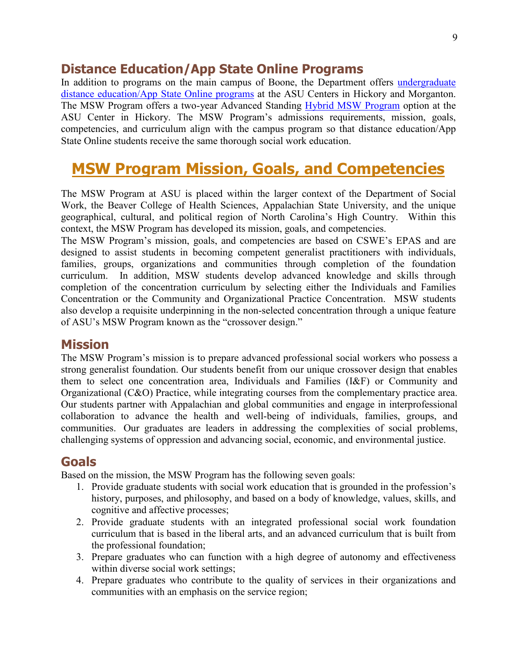#### <span id="page-8-0"></span>**Distance Education/App State Online Programs**

In addition to programs on the main campus of Boone, the Department offers undergraduate [distance education/App State Online](http://socialwork.appstate.edu/undergraduate/distance-education) programs at the ASU Centers in Hickory and Morganton. The MSW Program offers a two-year Advanced Standing [Hybrid MSW Program](https://distance.appstate.edu/programs/id/social-work-msw) option at the ASU Center in Hickory. The MSW Program's admissions requirements, mission, goals, competencies, and curriculum align with the campus program so that distance education/App State Online students receive the same thorough social work education.

# <span id="page-8-1"></span>**MSW Program Mission, Goals, and Competencies**

The MSW Program at ASU is placed within the larger context of the Department of Social Work, the Beaver College of Health Sciences, Appalachian State University, and the unique geographical, cultural, and political region of North Carolina's High Country. Within this context, the MSW Program has developed its mission, goals, and competencies.

The MSW Program's mission, goals, and competencies are based on CSWE's EPAS and are designed to assist students in becoming competent generalist practitioners with individuals, families, groups, organizations and communities through completion of the foundation curriculum. In addition, MSW students develop advanced knowledge and skills through completion of the concentration curriculum by selecting either the Individuals and Families Concentration or the Community and Organizational Practice Concentration. MSW students also develop a requisite underpinning in the non-selected concentration through a unique feature of ASU's MSW Program known as the "crossover design."

#### <span id="page-8-2"></span>**Mission**

The MSW Program's mission is to prepare advanced professional social workers who possess a strong generalist foundation. Our students benefit from our unique crossover design that enables them to select one concentration area, Individuals and Families (I&F) or Community and Organizational (C&O) Practice, while integrating courses from the complementary practice area. Our students partner with Appalachian and global communities and engage in interprofessional collaboration to advance the health and well-being of individuals, families, groups, and communities. Our graduates are leaders in addressing the complexities of social problems, challenging systems of oppression and advancing social, economic, and environmental justice.

#### <span id="page-8-3"></span>**Goals**

Based on the mission, the MSW Program has the following seven goals:

- 1. Provide graduate students with social work education that is grounded in the profession's history, purposes, and philosophy, and based on a body of knowledge, values, skills, and cognitive and affective processes;
- 2. Provide graduate students with an integrated professional social work foundation curriculum that is based in the liberal arts, and an advanced curriculum that is built from the professional foundation;
- 3. Prepare graduates who can function with a high degree of autonomy and effectiveness within diverse social work settings;
- 4. Prepare graduates who contribute to the quality of services in their organizations and communities with an emphasis on the service region;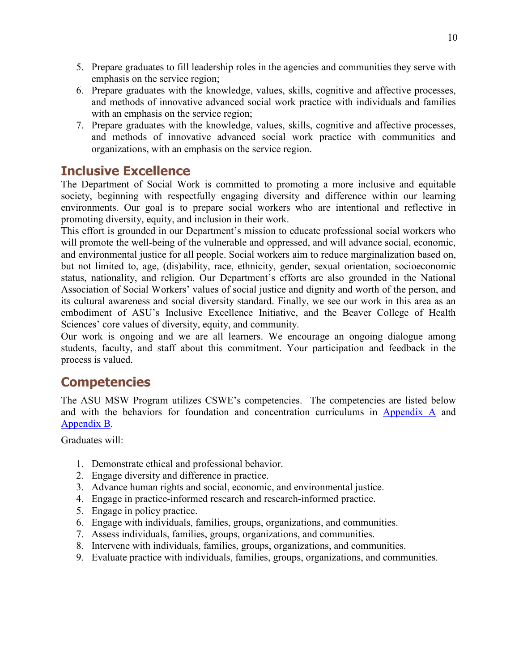- 5. Prepare graduates to fill leadership roles in the agencies and communities they serve with emphasis on the service region;
- 6. Prepare graduates with the knowledge, values, skills, cognitive and affective processes, and methods of innovative advanced social work practice with individuals and families with an emphasis on the service region;
- 7. Prepare graduates with the knowledge, values, skills, cognitive and affective processes, and methods of innovative advanced social work practice with communities and organizations, with an emphasis on the service region.

## <span id="page-9-0"></span>**Inclusive Excellence**

The Department of Social Work is committed to promoting a more inclusive and equitable society, beginning with respectfully engaging diversity and difference within our learning environments. Our goal is to prepare social workers who are intentional and reflective in promoting diversity, equity, and inclusion in their work.

This effort is grounded in our Department's mission to educate professional social workers who will promote the well-being of the vulnerable and oppressed, and will advance social, economic, and environmental justice for all people. Social workers aim to reduce marginalization based on, but not limited to, age, (dis)ability, race, ethnicity, gender, sexual orientation, socioeconomic status, nationality, and religion. Our Department's efforts are also grounded in the National Association of Social Workers' values of social justice and dignity and worth of the person, and its cultural awareness and social diversity standard. Finally, we see our work in this area as an embodiment of ASU's Inclusive Excellence Initiative, and the Beaver College of Health Sciences' core values of diversity, equity, and community.

Our work is ongoing and we are all learners. We encourage an ongoing dialogue among students, faculty, and staff about this commitment. Your participation and feedback in the process is valued.

# <span id="page-9-1"></span>**Competencies**

The ASU MSW Program utilizes CSWE's competencies. The competencies are listed below and with the behaviors for foundation and concentration curriculums in [Appendix A](#page-38-0) and [Appendix B.](#page-39-0)

Graduates will:

- 1. Demonstrate ethical and professional behavior.
- 2. Engage diversity and difference in practice.
- 3. Advance human rights and social, economic, and environmental justice.
- 4. Engage in practice-informed research and research-informed practice.
- 5. Engage in policy practice.
- 6. Engage with individuals, families, groups, organizations, and communities.
- 7. Assess individuals, families, groups, organizations, and communities.
- 8. Intervene with individuals, families, groups, organizations, and communities.
- 9. Evaluate practice with individuals, families, groups, organizations, and communities.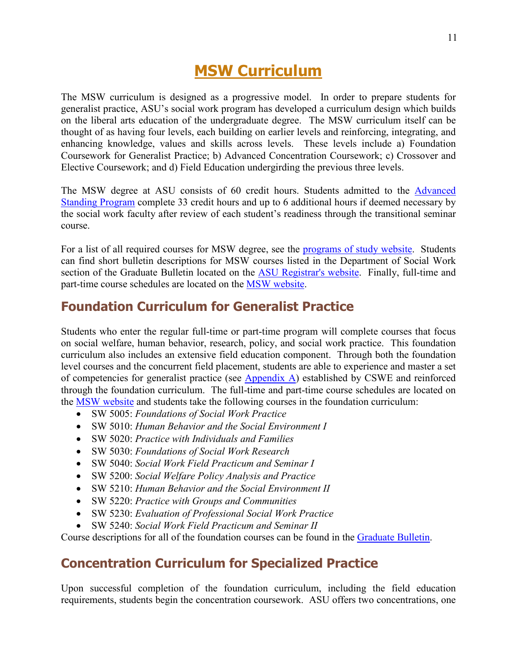# **MSW Curriculum**

<span id="page-10-0"></span>The MSW curriculum is designed as a progressive model. In order to prepare students for generalist practice, ASU's social work program has developed a curriculum design which builds on the liberal arts education of the undergraduate degree. The MSW curriculum itself can be thought of as having four levels, each building on earlier levels and reinforcing, integrating, and enhancing knowledge, values and skills across levels. These levels include a) Foundation Coursework for Generalist Practice; b) Advanced Concentration Coursework; c) Crossover and Elective Coursework; and d) Field Education undergirding the previous three levels.

The MSW degree at ASU consists of 60 credit hours. Students admitted to the [Advanced](#page-15-4)  [Standing Program](#page-15-4) complete 33 credit hours and up to 6 additional hours if deemed necessary by the social work faculty after review of each student's readiness through the transitional seminar course.

For a list of all required courses for MSW degree, see the [programs of study website.](http://socialwork.appstate.edu/graduate/programs-study) Students can find short bulletin descriptions for MSW courses listed in the Department of Social Work section of the Graduate Bulletin located on the [ASU Registrar's website.](http://www.registrar.appstate.edu/catalogs/index.html) Finally, full-time and part-time course schedules are located on the [MSW website.](http://socialwork.appstate.edu/graduate/program-schedules)

#### <span id="page-10-1"></span>**Foundation Curriculum for Generalist Practice**

Students who enter the regular full-time or part-time program will complete courses that focus on social welfare, human behavior, research, policy, and social work practice. This foundation curriculum also includes an extensive field education component. Through both the foundation level courses and the concurrent field placement, students are able to experience and master a set of competencies for generalist practice (see  $\Delta$ ppendix  $\Delta$ ) established by CSWE and reinforced through the foundation curriculum. The full-time and part-time course schedules are located on the [MSW website](https://socialwork.appstate.edu/graduate-msw/program-schedules) and students take the following courses in the foundation curriculum:

- SW 5005: *Foundations of Social Work Practice*
- SW 5010: *Human Behavior and the Social Environment I*
- SW 5020: *Practice with Individuals and Families*
- SW 5030: *Foundations of Social Work Research*
- SW 5040: *Social Work Field Practicum and Seminar I*
- SW 5200: *Social Welfare Policy Analysis and Practice*
- SW 5210: *Human Behavior and the Social Environment II*
- SW 5220: *Practice with Groups and Communities*
- SW 5230: *Evaluation of Professional Social Work Practice*
- SW 5240: *Social Work Field Practicum and Seminar II*

Course descriptions for all of the foundation courses can be found in the [Graduate Bulletin.](http://bulletin.appstate.edu/)

### <span id="page-10-2"></span>**Concentration Curriculum for Specialized Practice**

Upon successful completion of the foundation curriculum, including the field education requirements, students begin the concentration coursework. ASU offers two concentrations, one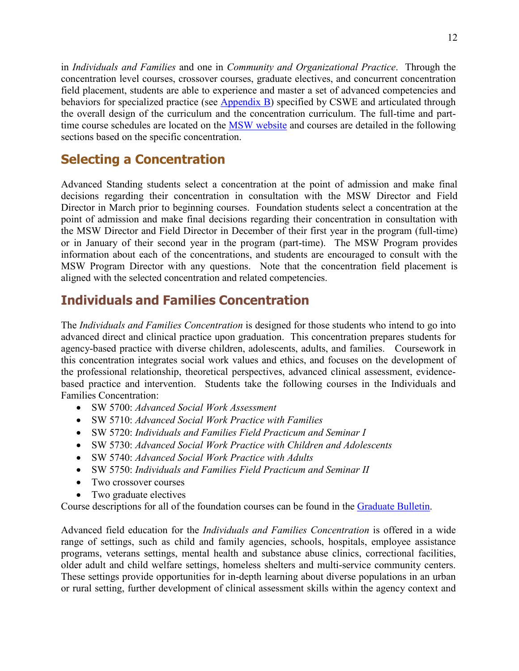12

in *Individuals and Families* and one in *Community and Organizational Practice*. Through the concentration level courses, crossover courses, graduate electives, and concurrent concentration field placement, students are able to experience and master a set of advanced competencies and behaviors for specialized practice (see [Appendix B\)](#page-39-0) specified by CSWE and articulated through the overall design of the curriculum and the concentration curriculum. The full-time and part-time course schedules are located on the [MSW website](https://socialwork.appstate.edu/graduate-msw/program-schedules) and courses are detailed in the following sections based on the specific concentration.

# <span id="page-11-0"></span>**Selecting a Concentration**

Advanced Standing students select a concentration at the point of admission and make final decisions regarding their concentration in consultation with the MSW Director and Field Director in March prior to beginning courses. Foundation students select a concentration at the point of admission and make final decisions regarding their concentration in consultation with the MSW Director and Field Director in December of their first year in the program (full-time) or in January of their second year in the program (part-time). The MSW Program provides information about each of the concentrations, and students are encouraged to consult with the MSW Program Director with any questions. Note that the concentration field placement is aligned with the selected concentration and related competencies.

# <span id="page-11-1"></span>**Individuals and Families Concentration**

The *Individuals and Families Concentration* is designed for those students who intend to go into advanced direct and clinical practice upon graduation. This concentration prepares students for agency-based practice with diverse children, adolescents, adults, and families. Coursework in this concentration integrates social work values and ethics, and focuses on the development of the professional relationship, theoretical perspectives, advanced clinical assessment, evidencebased practice and intervention. Students take the following courses in the Individuals and Families Concentration:

- SW 5700: *Advanced Social Work Assessment*
- SW 5710: *Advanced Social Work Practice with Families*
- SW 5720: *Individuals and Families Field Practicum and Seminar I*
- SW 5730: *Advanced Social Work Practice with Children and Adolescents*
- SW 5740: *Advanced Social Work Practice with Adults*
- SW 5750: *Individuals and Families Field Practicum and Seminar II*
- Two crossover courses
- Two graduate electives

Course descriptions for all of the foundation courses can be found in the [Graduate Bulletin.](http://www.registrar.appstate.edu/catalogs/index.html)

Advanced field education for the *Individuals and Families Concentration* is offered in a wide range of settings, such as child and family agencies, schools, hospitals, employee assistance programs, veterans settings, mental health and substance abuse clinics, correctional facilities, older adult and child welfare settings, homeless shelters and multi-service community centers. These settings provide opportunities for in-depth learning about diverse populations in an urban or rural setting, further development of clinical assessment skills within the agency context and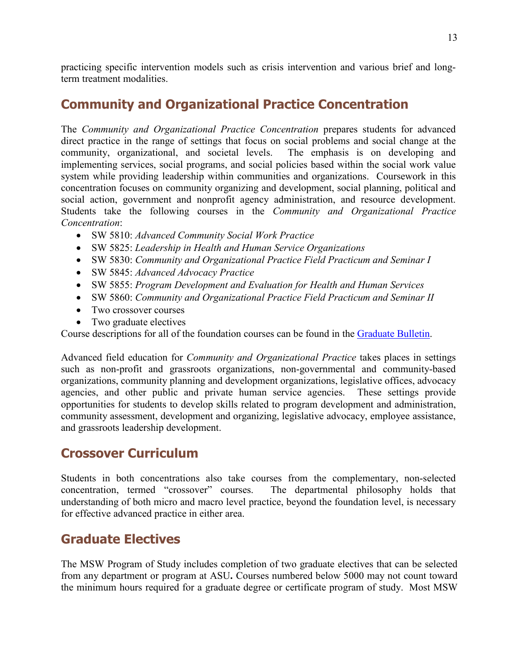practicing specific intervention models such as crisis intervention and various brief and longterm treatment modalities.

# <span id="page-12-0"></span>**Community and Organizational Practice Concentration**

The *Community and Organizational Practice Concentration* prepares students for advanced direct practice in the range of settings that focus on social problems and social change at the community, organizational, and societal levels. The emphasis is on developing and implementing services, social programs, and social policies based within the social work value system while providing leadership within communities and organizations. Coursework in this concentration focuses on community organizing and development, social planning, political and social action, government and nonprofit agency administration, and resource development. Students take the following courses in the *Community and Organizational Practice Concentration*:

- SW 5810: *Advanced Community Social Work Practice*
- SW 5825: *Leadership in Health and Human Service Organizations*
- SW 5830: *Community and Organizational Practice Field Practicum and Seminar I*
- SW 5845: *Advanced Advocacy Practice*
- SW 5855: *Program Development and Evaluation for Health and Human Services*
- SW 5860: *Community and Organizational Practice Field Practicum and Seminar II*
- Two crossover courses
- Two graduate electives

Course descriptions for all of the foundation courses can be found in the [Graduate Bulletin.](http://www.registrar.appstate.edu/catalogs/index.html)

Advanced field education for *Community and Organizational Practice* takes places in settings such as non-profit and grassroots organizations, non-governmental and community-based organizations, community planning and development organizations, legislative offices, advocacy agencies, and other public and private human service agencies. These settings provide opportunities for students to develop skills related to program development and administration, community assessment, development and organizing, legislative advocacy, employee assistance, and grassroots leadership development.

# <span id="page-12-1"></span>**Crossover Curriculum**

Students in both concentrations also take courses from the complementary, non-selected concentration, termed "crossover" courses. The departmental philosophy holds that understanding of both micro and macro level practice, beyond the foundation level, is necessary for effective advanced practice in either area.

# <span id="page-12-2"></span>**Graduate Electives**

The MSW Program of Study includes completion of two graduate electives that can be selected from any department or program at ASU**.** Courses numbered below 5000 may not count toward the minimum hours required for a graduate degree or certificate program of study. Most MSW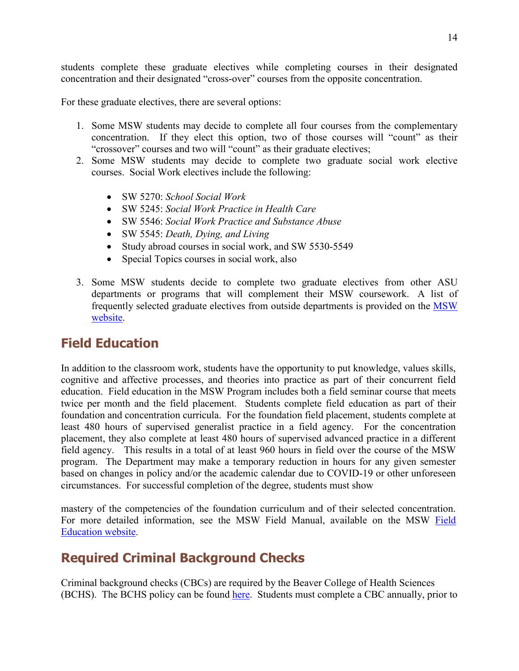students complete these graduate electives while completing courses in their designated concentration and their designated "cross-over" courses from the opposite concentration.

For these graduate electives, there are several options:

- 1. Some MSW students may decide to complete all four courses from the complementary concentration. If they elect this option, two of those courses will "count" as their "crossover" courses and two will "count" as their graduate electives;
- 2. Some MSW students may decide to complete two graduate social work elective courses. Social Work electives include the following:
	- SW 5270: *School Social Work*
	- SW 5245: *Social Work Practice in Health Care*
	- SW 5546: *Social Work Practice and Substance Abuse*
	- SW 5545: *Death, Dying, and Living*
	- Study abroad courses in social work, and SW 5530-5549
	- Special Topics courses in social work, also
- 3. Some MSW students decide to complete two graduate electives from other ASU departments or programs that will complement their MSW coursework. A list of frequently selected graduate electives from outside departments is provided on the [MSW](https://socialwork.appstate.edu/graduate-msw/information-about-graduate-electives)  [website.](https://socialwork.appstate.edu/graduate-msw/information-about-graduate-electives)

# <span id="page-13-0"></span>**Field Education**

In addition to the classroom work, students have the opportunity to put knowledge, values skills, cognitive and affective processes, and theories into practice as part of their concurrent field education. Field education in the MSW Program includes both a field seminar course that meets twice per month and the field placement. Students complete field education as part of their foundation and concentration curricula. For the foundation field placement, students complete at least 480 hours of supervised generalist practice in a field agency. For the concentration placement, they also complete at least 480 hours of supervised advanced practice in a different field agency. This results in a total of at least 960 hours in field over the course of the MSW program. The Department may make a temporary reduction in hours for any given semester based on changes in policy and/or the academic calendar due to COVID-19 or other unforeseen circumstances. For successful completion of the degree, students must show

mastery of the competencies of the foundation curriculum and of their selected concentration. For more detailed information, see the MSW [Field](https://socialwork.appstate.edu/graduate-msw/field-education) Manual, available on the MSW Field [Education website.](https://socialwork.appstate.edu/graduate-msw/field-education)

# <span id="page-13-1"></span>**Required Criminal Background Checks**

Criminal background checks (CBCs) are required by the Beaver College of Health Sciences (BCHS). The BCHS policy can be found [here.](https://docs.google.com/document/d/1OoK0DgPDZeMGYO8k63kK5ctQ7hnu16n3tq3Mir8o6aU/edit) Students must complete a CBC annually, prior to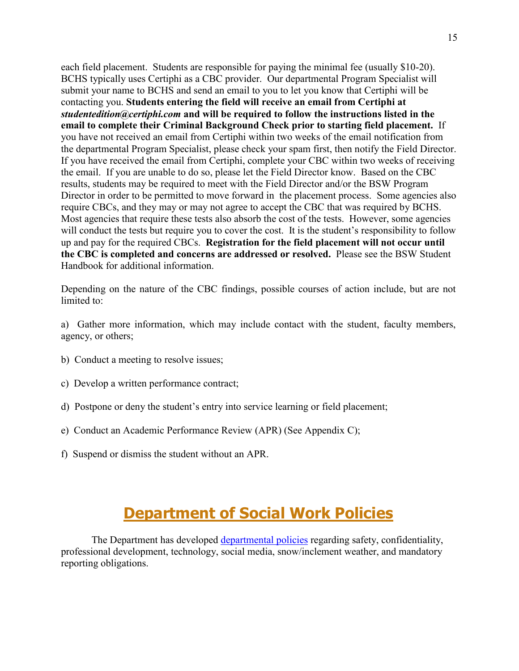each field placement. Students are responsible for paying the minimal fee (usually \$10-20). BCHS typically uses Certiphi as a CBC provider. Our departmental Program Specialist will submit your name to BCHS and send an email to you to let you know that Certiphi will be contacting you. **Students entering the field will receive an email from Certiphi at**  *studentedition@certiphi.com* **and will be required to follow the instructions listed in the email to complete their Criminal Background Check prior to starting field placement.** If you have not received an email from Certiphi within two weeks of the email notification from the departmental Program Specialist, please check your spam first, then notify the Field Director. If you have received the email from Certiphi, complete your CBC within two weeks of receiving the email. If you are unable to do so, please let the Field Director know. Based on the CBC results, students may be required to meet with the Field Director and/or the BSW Program Director in order to be permitted to move forward in the placement process. Some agencies also require CBCs, and they may or may not agree to accept the CBC that was required by BCHS. Most agencies that require these tests also absorb the cost of the tests. However, some agencies will conduct the tests but require you to cover the cost. It is the student's responsibility to follow up and pay for the required CBCs. **Registration for the field placement will not occur until the CBC is completed and concerns are addressed or resolved.** Please see the BSW Student Handbook for additional information.

Depending on the nature of the CBC findings, possible courses of action include, but are not limited to:

a) Gather more information, which may include contact with the student, faculty members, agency, or others;

- b) Conduct a meeting to resolve issues;
- c) Develop a written performance contract;
- d) Postpone or deny the student's entry into service learning or field placement;
- e) Conduct an Academic Performance Review (APR) (See Appendix C);
- f) Suspend or dismiss the student without an APR.

# **Department of Social Work Policies**

<span id="page-14-0"></span>The Department has developed [departmental policies](https://docs.google.com/document/d/13BG1qvmf3fL3DKuWjZ7m_AgpHU9yCkiFumRkqEKDoW0/edit?ts=5b351296) regarding safety, confidentiality, professional development, technology, social media, snow/inclement weather, and mandatory reporting obligations.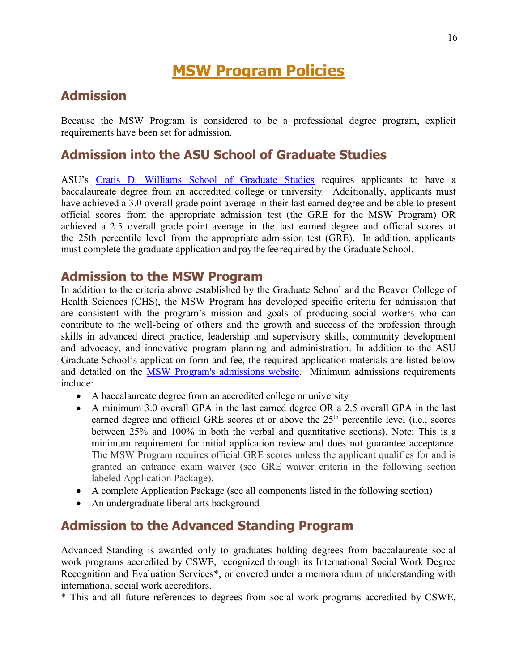# **MSW Program Policies**

### <span id="page-15-1"></span><span id="page-15-0"></span>**Admission**

Because the MSW Program is considered to be a professional degree program, explicit requirements have been set for admission.

## <span id="page-15-2"></span>**Admission into the ASU School of Graduate Studies**

ASU's [Cratis D. Williams School of Graduate Studies](http://www.graduate.appstate.edu/admissions/index.html) requires applicants to have a baccalaureate degree from an accredited college or university. Additionally, applicants must have achieved a 3.0 overall grade point average in their last earned degree and be able to present official scores from the appropriate admission test (the GRE for the MSW Program) OR achieved a 2.5 overall grade point average in the last earned degree and official scores at the 25th percentile level from the appropriate admission test (GRE). In addition, applicants must complete the graduate application and pay the fee required by the Graduate School.

#### <span id="page-15-3"></span>**Admission to the MSW Program**

In addition to the criteria above established by the Graduate School and the Beaver College of Health Sciences (CHS), the MSW Program has developed specific criteria for admission that are consistent with the program's mission and goals of producing social workers who can contribute to the well-being of others and the growth and success of the profession through skills in advanced direct practice, leadership and supervisory skills, community development and advocacy, and innovative program planning and administration. In addition to the ASU Graduate School's application form and fee, the required application materials are listed below and detailed on the [MSW Program's admissions website.](http://socialwork.appstate.edu/graduate/admission) Minimum admissions requirements include:

- A baccalaureate degree from an accredited college or university
- A minimum 3.0 overall GPA in the last earned degree OR a 2.5 overall GPA in the last earned degree and official GRE scores at or above the  $25<sup>th</sup>$  percentile level (i.e., scores between 25% and 100% in both the verbal and quantitative sections). Note: This is a minimum requirement for initial application review and does not guarantee acceptance. The MSW Program requires official GRE scores unless the applicant qualifies for and is granted an entrance exam waiver (see GRE waiver criteria in the following section labeled Application Package).
- A complete Application Package (see all components listed in the following section)
- An undergraduate liberal arts background

#### <span id="page-15-4"></span>**Admission to the Advanced Standing Program**

Advanced Standing is awarded only to graduates holding degrees from baccalaureate social work programs accredited by CSWE, recognized through its International Social Work Degree Recognition and Evaluation Services\*, or covered under a memorandum of understanding with international social work accreditors.

\* This and all future references to degrees from social work programs accredited by CSWE,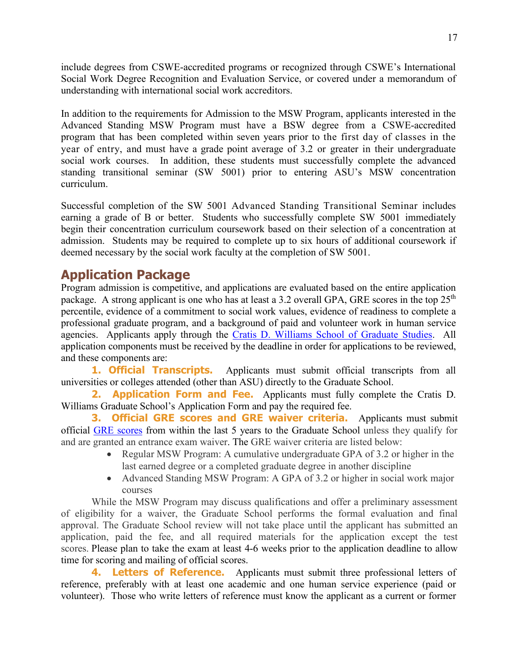include degrees from CSWE-accredited programs or recognized through CSWE's International Social Work Degree Recognition and Evaluation Service, or covered under a memorandum of understanding with international social work accreditors.

In addition to the requirements for Admission to the MSW Program, applicants interested in the Advanced Standing MSW Program must have a BSW degree from a CSWE-accredited program that has been completed within seven years prior to the first day of classes in the year of entry, and must have a grade point average of 3.2 or greater in their undergraduate social work courses. In addition, these students must successfully complete the advanced standing transitional seminar (SW 5001) prior to entering ASU's MSW concentration curriculum.

Successful completion of the SW 5001 Advanced Standing Transitional Seminar includes earning a grade of B or better. Students who successfully complete SW 5001 immediately begin their concentration curriculum coursework based on their selection of a concentration at admission. Students may be required to complete up to six hours of additional coursework if deemed necessary by the social work faculty at the completion of SW 5001.

### <span id="page-16-0"></span>**Application Package**

Program admission is competitive, and applications are evaluated based on the entire application package. A strong applicant is one who has at least a 3.2 overall GPA, GRE scores in the top  $25<sup>th</sup>$ percentile, evidence of a commitment to social work values, evidence of readiness to complete a professional graduate program, and a background of paid and volunteer work in human service agencies. Applicants apply through the [Cratis D. Williams School of Graduate Studies.](http://www.graduate.appstate.edu/admissions/index.html) All application components must be received by the deadline in order for applications to be reviewed, and these components are:

**1. Official Transcripts.** Applicants must submit official transcripts from all universities or colleges attended (other than ASU) directly to the Graduate School.

**2. Application Form and Fee.** Applicants must fully complete the Cratis D. Williams Graduate School's Application Form and pay the required fee.

**3. Official GRE scores and GRE waiver criteria.** Applicants must submit official [GRE scores](http://www.ets.org/gre) from within the last 5 years to the Graduate School unless they qualify for and are granted an entrance exam waiver. The GRE waiver criteria are listed below:

- Regular MSW Program: A cumulative undergraduate GPA of 3.2 or higher in the last earned degree or a completed graduate degree in another discipline
- Advanced Standing MSW Program: A GPA of 3.2 or higher in social work major courses

While the MSW Program may discuss qualifications and offer a preliminary assessment of eligibility for a waiver, the Graduate School performs the formal evaluation and final approval. The Graduate School review will not take place until the applicant has submitted an application, paid the fee, and all required materials for the application except the test scores. Please plan to take the exam at least 4-6 weeks prior to the application deadline to allow time for scoring and mailing of official scores.

**4. Letters of Reference.** Applicants must submit three professional letters of reference, preferably with at least one academic and one human service experience (paid or volunteer). Those who write letters of reference must know the applicant as a current or former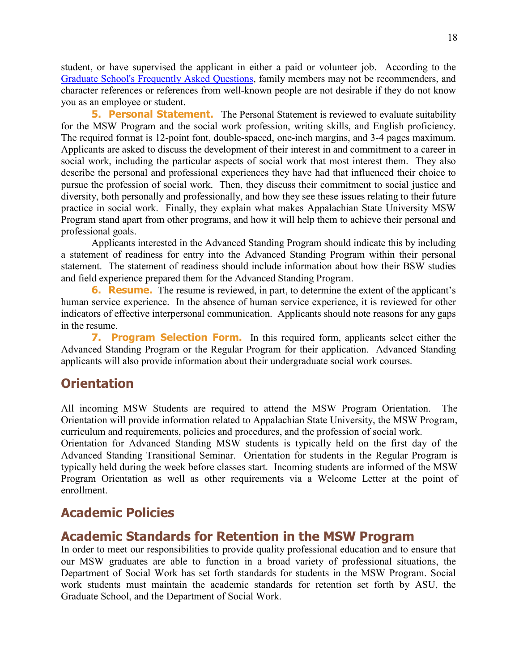student, or have supervised the applicant in either a paid or volunteer job. According to the [Graduate School's Frequently Asked Questions,](https://graduate.appstate.edu/prospective-students/how-apply/applying-faqs#process) family members may not be recommenders, and character references or references from well-known people are not desirable if they do not know you as an employee or student.

**5. Personal Statement.** The Personal Statement is reviewed to evaluate suitability for the MSW Program and the social work profession, writing skills, and English proficiency. The required format is 12-point font, double-spaced, one-inch margins, and 3-4 pages maximum. Applicants are asked to discuss the development of their interest in and commitment to a career in social work, including the particular aspects of social work that most interest them. They also describe the personal and professional experiences they have had that influenced their choice to pursue the profession of social work. Then, they discuss their commitment to social justice and diversity, both personally and professionally, and how they see these issues relating to their future practice in social work. Finally, they explain what makes Appalachian State University MSW Program stand apart from other programs, and how it will help them to achieve their personal and professional goals.

Applicants interested in the Advanced Standing Program should indicate this by including a statement of readiness for entry into the Advanced Standing Program within their personal statement. The statement of readiness should include information about how their BSW studies and field experience prepared them for the Advanced Standing Program.

**6. Resume.** The resume is reviewed, in part, to determine the extent of the applicant's human service experience. In the absence of human service experience, it is reviewed for other indicators of effective interpersonal communication. Applicants should note reasons for any gaps in the resume.

**7. Program Selection Form.** In this required form, applicants select either the Advanced Standing Program or the Regular Program for their application. Advanced Standing applicants will also provide information about their undergraduate social work courses.

#### <span id="page-17-0"></span>**Orientation**

All incoming MSW Students are required to attend the MSW Program Orientation. The Orientation will provide information related to Appalachian State University, the MSW Program, curriculum and requirements, policies and procedures, and the profession of social work.

Orientation for Advanced Standing MSW students is typically held on the first day of the Advanced Standing Transitional Seminar. Orientation for students in the Regular Program is typically held during the week before classes start. Incoming students are informed of the MSW Program Orientation as well as other requirements via a Welcome Letter at the point of enrollment.

#### <span id="page-17-1"></span>**Academic Policies**

#### <span id="page-17-2"></span>**Academic Standards for Retention in the MSW Program**

In order to meet our responsibilities to provide quality professional education and to ensure that our MSW graduates are able to function in a broad variety of professional situations, the Department of Social Work has set forth standards for students in the MSW Program. Social work students must maintain the academic standards for retention set forth by ASU, the Graduate School, and the Department of Social Work.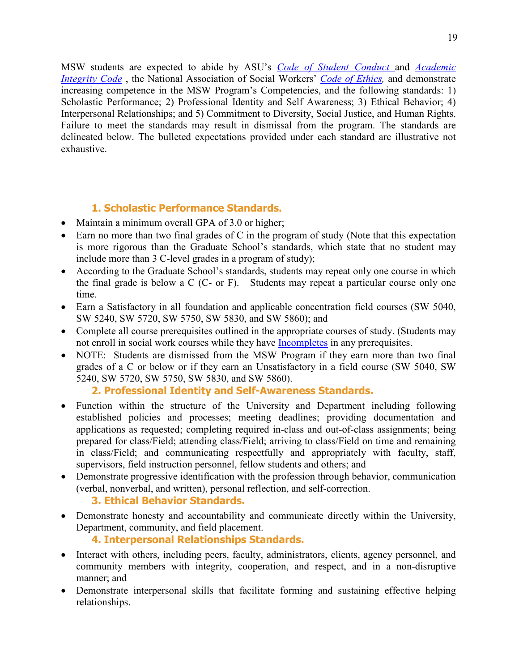MSW students are expected to abide by ASU's *Code of Student [Conduct](https://studentconduct.appstate.edu/)* and *[Academic](https://academicintegrity.appstate.edu/)  [Integrity Code](https://academicintegrity.appstate.edu/)* [,](https://studentconduct.appstate.edu/) the National Association of Social Workers' *[Code of Ethics,](https://www.socialworkers.org/About/Ethics/Code-of-Ethics)* and demonstrate increasing competence in the MSW Program's Competencies, and the following standards: 1) Scholastic Performance; 2) Professional Identity and Self Awareness; 3) Ethical Behavior; 4) Interpersonal Relationships; and 5) Commitment to Diversity, Social Justice, and Human Rights. Failure to meet the standards may result in dismissal from the program. The standards are delineated below. The bulleted expectations provided under each standard are illustrative not exhaustive.

#### **1. Scholastic Performance Standards.**

- Maintain a minimum overall GPA of 3.0 or higher;
- Earn no more than two final grades of C in the program of study (Note that this expectation is more rigorous than the Graduate School's standards, which state that no student may include more than 3 C-level grades in a program of study);
- According to the Graduate School's standards, students may repeat only one course in which the final grade is below a C (C- or F). Students may repeat a particular course only one time.
- Earn a Satisfactory in all foundation and applicable concentration field courses (SW 5040, SW 5240, SW 5720, SW 5750, SW 5830, and SW 5860); and
- Complete all course prerequisites outlined in the appropriate courses of study. (Students may not enroll in social work courses while they have **Incompletes** in any prerequisites.
- NOTE: Students are dismissed from the MSW Program if they earn more than two final grades of a C or below or if they earn an Unsatisfactory in a field course (SW 5040, SW 5240, SW 5720, SW 5750, SW 5830, and SW 5860).

```
2. Professional Identity and Self-Awareness Standards.
```
- Function within the structure of the University and Department including following established policies and processes; meeting deadlines; providing documentation and applications as requested; completing required in-class and out-of-class assignments; being prepared for class/Field; attending class/Field; arriving to class/Field on time and remaining in class/Field; and communicating respectfully and appropriately with faculty, staff, supervisors, field instruction personnel, fellow students and others; and
- Demonstrate progressive identification with the profession through behavior, communication (verbal, nonverbal, and written), personal reflection, and self-correction.

```
3. Ethical Behavior Standards.
```
• Demonstrate honesty and accountability and communicate directly within the University, Department, community, and field placement.

**4. Interpersonal Relationships Standards.**

- Interact with others, including peers, faculty, administrators, clients, agency personnel, and community members with integrity, cooperation, and respect, and in a non-disruptive manner; and
- Demonstrate interpersonal skills that facilitate forming and sustaining effective helping relationships.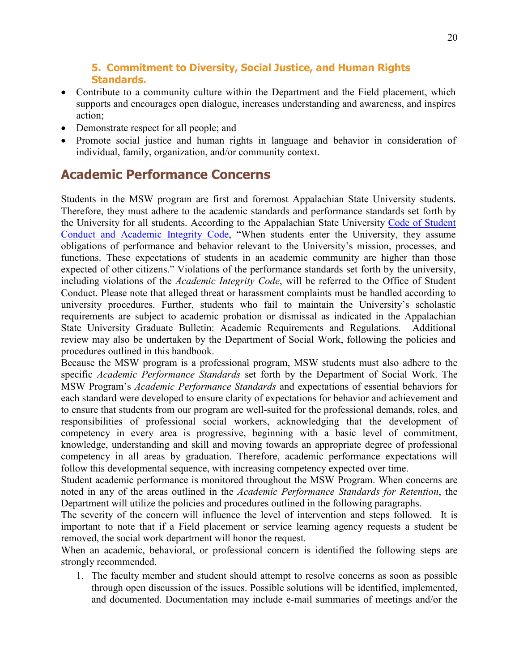#### **5. Commitment to Diversity, Social Justice, and Human Rights Standards.**

- Contribute to a community culture within the Department and the Field placement, which supports and encourages open dialogue, increases understanding and awareness, and inspires action;
- Demonstrate respect for all people; and
- Promote social justice and human rights in language and behavior in consideration of individual, family, organization, and/or community context.

# <span id="page-19-0"></span>**Academic Performance Concerns**

Students in the MSW program are first and foremost Appalachian State University students. Therefore, they must adhere to the academic standards and performance standards set forth by the University for all students. According to the Appalachian State University [Code of Student](http://studentconduct.appstate.edu/)  [Conduct and Academic Integrity Code,](http://studentconduct.appstate.edu/) "When students enter the University, they assume obligations of performance and behavior relevant to the University's mission, processes, and functions. These expectations of students in an academic community are higher than those expected of other citizens." Violations of the performance standards set forth by the university, including violations of the *Academic Integrity Code*, will be referred to the Office of Student Conduct. Please note that alleged threat or harassment complaints must be handled according to university procedures. Further, students who fail to maintain the University's scholastic requirements are subject to academic probation or dismissal as indicated in the Appalachian State University Graduate Bulletin: Academic Requirements and Regulations. Additional review may also be undertaken by the Department of Social Work, following the policies and procedures outlined in this handbook.

Because the MSW program is a professional program, MSW students must also adhere to the specific *Academic Performance Standards* set forth by the Department of Social Work. The MSW Program's *Academic Performance Standards* and expectations of essential behaviors for each standard were developed to ensure clarity of expectations for behavior and achievement and to ensure that students from our program are well-suited for the professional demands, roles, and responsibilities of professional social workers, acknowledging that the development of competency in every area is progressive, beginning with a basic level of commitment, knowledge, understanding and skill and moving towards an appropriate degree of professional competency in all areas by graduation. Therefore, academic performance expectations will follow this developmental sequence, with increasing competency expected over time.

Student academic performance is monitored throughout the MSW Program. When concerns are noted in any of the areas outlined in the *Academic Performance Standards for Retention*, the Department will utilize the policies and procedures outlined in the following paragraphs.

The severity of the concern will influence the level of intervention and steps followed. It is important to note that if a Field placement or service learning agency requests a student be removed, the social work department will honor the request.

When an academic, behavioral, or professional concern is identified the following steps are strongly recommended.

1. The faculty member and student should attempt to resolve concerns as soon as possible through open discussion of the issues. Possible solutions will be identified, implemented, and documented. Documentation may include e-mail summaries of meetings and/or the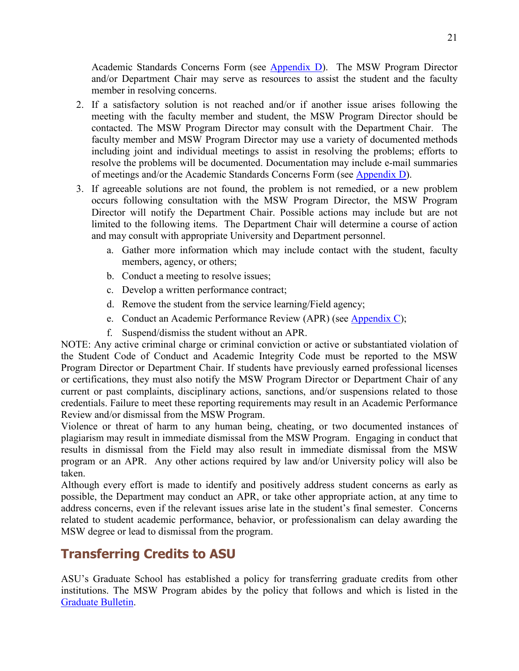Academic Standards Concerns Form (see **Appendix D**). The MSW Program Director and/or Department Chair may serve as resources to assist the student and the faculty member in resolving concerns.

- 2. If a satisfactory solution is not reached and/or if another issue arises following the meeting with the faculty member and student, the MSW Program Director should be contacted. The MSW Program Director may consult with the Department Chair. The faculty member and MSW Program Director may use a variety of documented methods including joint and individual meetings to assist in resolving the problems; efforts to resolve the problems will be documented. Documentation may include e-mail summaries of meetings and/or the Academic Standards Concerns Form (see [Appendix D\)](#page-47-0).
- 3. If agreeable solutions are not found, the problem is not remedied, or a new problem occurs following consultation with the MSW Program Director, the MSW Program Director will notify the Department Chair. Possible actions may include but are not limited to the following items. The Department Chair will determine a course of action and may consult with appropriate University and Department personnel.
	- a. Gather more information which may include contact with the student, faculty members, agency, or others;
	- b. Conduct a meeting to resolve issues;
	- c. Develop a written performance contract;
	- d. Remove the student from the service learning/Field agency;
	- e. Conduct an Academic Performance Review (APR) (see [Appendix C\)](#page-43-0);
	- f. Suspend/dismiss the student without an APR.

NOTE: Any active criminal charge or criminal conviction or active or substantiated violation of the Student Code of Conduct and Academic Integrity Code must be reported to the MSW Program Director or Department Chair. If students have previously earned professional licenses or certifications, they must also notify the MSW Program Director or Department Chair of any current or past complaints, disciplinary actions, sanctions, and/or suspensions related to those credentials. Failure to meet these reporting requirements may result in an Academic Performance Review and/or dismissal from the MSW Program.

Violence or threat of harm to any human being, cheating, or two documented instances of plagiarism may result in immediate dismissal from the MSW Program. Engaging in conduct that results in dismissal from the Field may also result in immediate dismissal from the MSW program or an APR. Any other actions required by law and/or University policy will also be taken.

Although every effort is made to identify and positively address student concerns as early as possible, the Department may conduct an APR, or take other appropriate action, at any time to address concerns, even if the relevant issues arise late in the student's final semester. Concerns related to student academic performance, behavior, or professionalism can delay awarding the MSW degree or lead to dismissal from the program.

# <span id="page-20-0"></span>**Transferring Credits to ASU**

ASU's Graduate School has established a policy for transferring graduate credits from other institutions. The MSW Program abides by the policy that follows and which is listed in the [Graduate Bulletin.](http://www.registrar.appstate.edu/catalogs/index.html)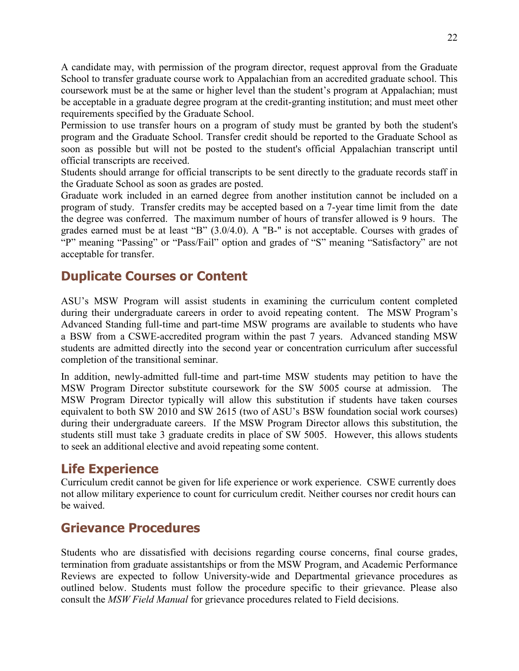A candidate may, with permission of the program director, request approval from the Graduate School to transfer graduate course work to Appalachian from an accredited graduate school. This coursework must be at the same or higher level than the student's program at Appalachian; must be acceptable in a graduate degree program at the credit-granting institution; and must meet other requirements specified by the Graduate School.

Permission to use transfer hours on a program of study must be granted by both the student's program and the Graduate School. Transfer credit should be reported to the Graduate School as soon as possible but will not be posted to the student's official Appalachian transcript until official transcripts are received.

Students should arrange for official transcripts to be sent directly to the graduate records staff in the Graduate School as soon as grades are posted.

Graduate work included in an earned degree from another institution cannot be included on a program of study. Transfer credits may be accepted based on a 7-year time limit from the date the degree was conferred. The maximum number of hours of transfer allowed is 9 hours. The grades earned must be at least "B" (3.0/4.0). A "B-" is not acceptable. Courses with grades of "P" meaning "Passing" or "Pass/Fail" option and grades of "S" meaning "Satisfactory" are not acceptable for transfer.

## <span id="page-21-0"></span>**Duplicate Courses or Content**

ASU's MSW Program will assist students in examining the curriculum content completed during their undergraduate careers in order to avoid repeating content. The MSW Program's Advanced Standing full-time and part-time MSW programs are available to students who have a BSW from a CSWE-accredited program within the past 7 years. Advanced standing MSW students are admitted directly into the second year or concentration curriculum after successful completion of the transitional seminar.

In addition, newly-admitted full-time and part-time MSW students may petition to have the MSW Program Director substitute coursework for the SW 5005 course at admission. The MSW Program Director typically will allow this substitution if students have taken courses equivalent to both SW 2010 and SW 2615 (two of ASU's BSW foundation social work courses) during their undergraduate careers. If the MSW Program Director allows this substitution, the students still must take 3 graduate credits in place of SW 5005. However, this allows students to seek an additional elective and avoid repeating some content.

### <span id="page-21-1"></span>**Life Experience**

Curriculum credit cannot be given for life experience or work experience. CSWE currently does not allow military experience to count for curriculum credit. Neither courses nor credit hours can be waived.

# <span id="page-21-2"></span>**Grievance Procedures**

Students who are dissatisfied with decisions regarding course concerns, final course grades, termination from graduate assistantships or from the MSW Program, and Academic Performance Reviews are expected to follow University-wide and Departmental grievance procedures as outlined below. Students must follow the procedure specific to their grievance. Please also consult the *MSW Field Manual* for grievance procedures related to Field decisions.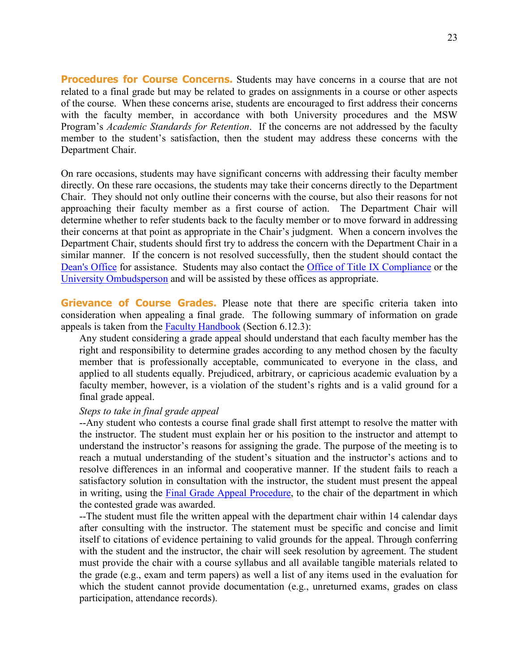**Procedures for Course Concerns.** Students may have concerns in a course that are not related to a final grade but may be related to grades on assignments in a course or other aspects of the course. When these concerns arise, students are encouraged to first address their concerns with the faculty member, in accordance with both University procedures and the MSW Program's *Academic Standards for Retention*. If the concerns are not addressed by the faculty member to the student's satisfaction, then the student may address these concerns with the Department Chair.

On rare occasions, students may have significant concerns with addressing their faculty member directly. On these rare occasions, the students may take their concerns directly to the Department Chair. They should not only outline their concerns with the course, but also their reasons for not approaching their faculty member as a first course of action. The Department Chair will determine whether to refer students back to the faculty member or to move forward in addressing their concerns at that point as appropriate in the Chair's judgment. When a concern involves the Department Chair, students should first try to address the concern with the Department Chair in a similar manner. If the concern is not resolved successfully, then the student should contact the [Dean's Office](https://healthsciences.appstate.edu/about-college/office-dean) for assistance. Students may also contact the [Office of Title IX Compliance](https://titleix.appstate.edu/) or the [University Ombudsperson](http://ombuds.appstate.edu/) and will be assisted by these offices as appropriate.

**Grievance of Course Grades.** Please note that there are specific criteria taken into consideration when appealing a final grade. The following summary of information on grade appeals is taken from the **Faculty Handbook** (Section 6.12.3):

Any student considering a grade appeal should understand that each faculty member has the right and responsibility to determine grades according to any method chosen by the faculty member that is professionally acceptable, communicated to everyone in the class, and applied to all students equally. Prejudiced, arbitrary, or capricious academic evaluation by a faculty member, however, is a violation of the student's rights and is a valid ground for a final grade appeal.

#### *Steps to take in final grade appeal*

--Any student who contests a course final grade shall first attempt to resolve the matter with the instructor. The student must explain her or his position to the instructor and attempt to understand the instructor's reasons for assigning the grade. The purpose of the meeting is to reach a mutual understanding of the student's situation and the instructor's actions and to resolve differences in an informal and cooperative manner. If the student fails to reach a satisfactory solution in consultation with the instructor, the student must present the appeal in writing, using the [Final Grade Appeal Procedure,](https://academicaffairs.appstate.edu/resources/final-grade-appeal-procedure) to the chair of the department in which the contested grade was awarded.

--The student must file the written appeal with the department chair within 14 calendar days after consulting with the instructor. The statement must be specific and concise and limit itself to citations of evidence pertaining to valid grounds for the appeal. Through conferring with the student and the instructor, the chair will seek resolution by agreement. The student must provide the chair with a course syllabus and all available tangible materials related to the grade (e.g., exam and term papers) as well a list of any items used in the evaluation for which the student cannot provide documentation (e.g., unreturned exams, grades on class participation, attendance records).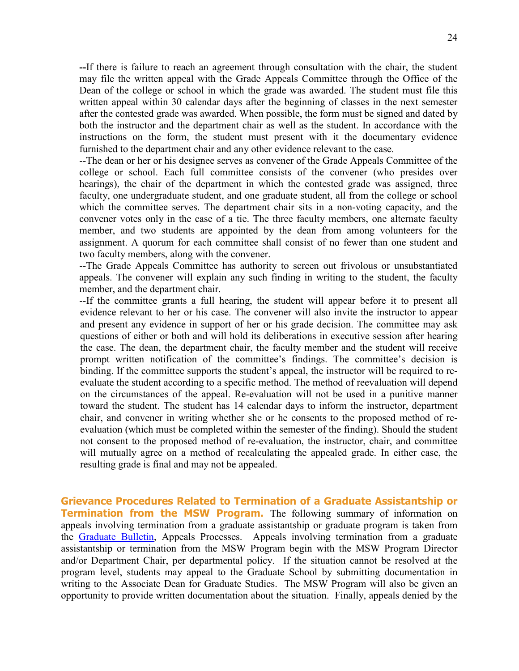**--**If there is failure to reach an agreement through consultation with the chair, the student may file the written appeal with the Grade Appeals Committee through the Office of the Dean of the college or school in which the grade was awarded. The student must file this written appeal within 30 calendar days after the beginning of classes in the next semester after the contested grade was awarded. When possible, the form must be signed and dated by both the instructor and the department chair as well as the student. In accordance with the instructions on the form, the student must present with it the documentary evidence furnished to the department chair and any other evidence relevant to the case.

--The dean or her or his designee serves as convener of the Grade Appeals Committee of the college or school. Each full committee consists of the convener (who presides over hearings), the chair of the department in which the contested grade was assigned, three faculty, one undergraduate student, and one graduate student, all from the college or school which the committee serves. The department chair sits in a non-voting capacity, and the convener votes only in the case of a tie. The three faculty members, one alternate faculty member, and two students are appointed by the dean from among volunteers for the assignment. A quorum for each committee shall consist of no fewer than one student and two faculty members, along with the convener.

--The Grade Appeals Committee has authority to screen out frivolous or unsubstantiated appeals. The convener will explain any such finding in writing to the student, the faculty member, and the department chair.

--If the committee grants a full hearing, the student will appear before it to present all evidence relevant to her or his case. The convener will also invite the instructor to appear and present any evidence in support of her or his grade decision. The committee may ask questions of either or both and will hold its deliberations in executive session after hearing the case. The dean, the department chair, the faculty member and the student will receive prompt written notification of the committee's findings. The committee's decision is binding. If the committee supports the student's appeal, the instructor will be required to reevaluate the student according to a specific method. The method of reevaluation will depend on the circumstances of the appeal. Re-evaluation will not be used in a punitive manner toward the student. The student has 14 calendar days to inform the instructor, department chair, and convener in writing whether she or he consents to the proposed method of reevaluation (which must be completed within the semester of the finding). Should the student not consent to the proposed method of re-evaluation, the instructor, chair, and committee will mutually agree on a method of recalculating the appealed grade. In either case, the resulting grade is final and may not be appealed.

**Grievance Procedures Related to Termination of a Graduate Assistantship or Termination from the MSW Program.** The following summary of information on appeals involving termination from a graduate assistantship or graduate program is taken from the [Graduate Bulletin,](http://bulletin.appstate.edu/) Appeals Processes. Appeals involving termination from a graduate assistantship or termination from the MSW Program begin with the MSW Program Director and/or Department Chair, per departmental policy. If the situation cannot be resolved at the program level, students may appeal to the Graduate School by submitting documentation in writing to the Associate Dean for Graduate Studies. The MSW Program will also be given an opportunity to provide written documentation about the situation. Finally, appeals denied by the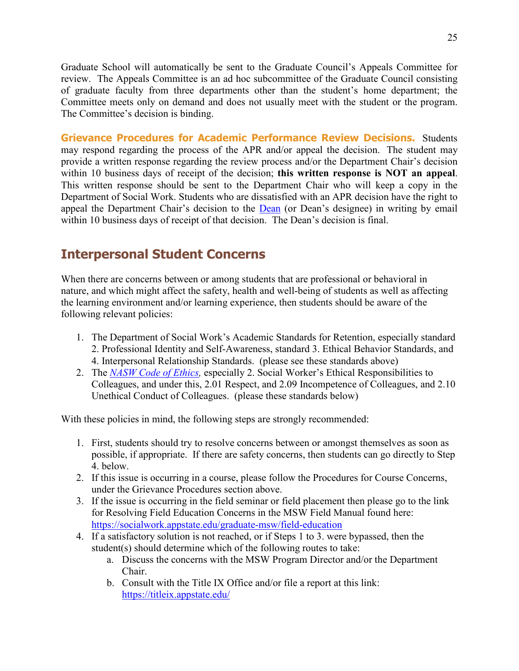Graduate School will automatically be sent to the Graduate Council's Appeals Committee for review. The Appeals Committee is an ad hoc subcommittee of the Graduate Council consisting of graduate faculty from three departments other than the student's home department; the Committee meets only on demand and does not usually meet with the student or the program. The Committee's decision is binding.

**Grievance Procedures for Academic Performance Review Decisions.** Students may respond regarding the process of the APR and/or appeal the decision. The student may provide a written response regarding the review process and/or the Department Chair's decision within 10 business days of receipt of the decision; **this written response is NOT an appeal**. This written response should be sent to the Department Chair who will keep a copy in the Department of Social Work. Students who are dissatisfied with an APR decision have the right to appeal the Department Chair's decision to the [Dean](https://healthsciences.appstate.edu/about-college/office-dean) (or Dean's designee) in writing by email within 10 business days of receipt of that decision. The Dean's decision is final.

## <span id="page-24-0"></span>**Interpersonal Student Concerns**

When there are concerns between or among students that are professional or behavioral in nature, and which might affect the safety, health and well-being of students as well as affecting the learning environment and/or learning experience, then students should be aware of the following relevant policies:

- 1. The Department of Social Work's Academic Standards for Retention, especially standard 2. Professional Identity and Self-Awareness, standard 3. Ethical Behavior Standards, and 4. Interpersonal Relationship Standards. (please see these standards above)
- 2. The *NASW Code of Ethics*, especially 2. Social Worker's Ethical Responsibilities to Colleagues, and under this, 2.01 Respect, and 2.09 Incompetence of Colleagues, and 2.10 Unethical Conduct of Colleagues. (please these standards below)

With these policies in mind, the following steps are strongly recommended:

- 1. First, students should try to resolve concerns between or amongst themselves as soon as possible, if appropriate. If there are safety concerns, then students can go directly to Step 4. below.
- 2. If this issue is occurring in a course, please follow the Procedures for Course Concerns, under the Grievance Procedures section above.
- 3. If the issue is occurring in the field seminar or field placement then please go to the link for Resolving Field Education Concerns in the MSW Field Manual found here: <https://socialwork.appstate.edu/graduate-msw/field-education>
- 4. If a satisfactory solution is not reached, or if Steps 1 to 3. were bypassed, then the student(s) should determine which of the following routes to take:
	- a. Discuss the concerns with the MSW Program Director and/or the Department Chair.
	- b. Consult with the Title IX Office and/or file a report at this link: <https://titleix.appstate.edu/>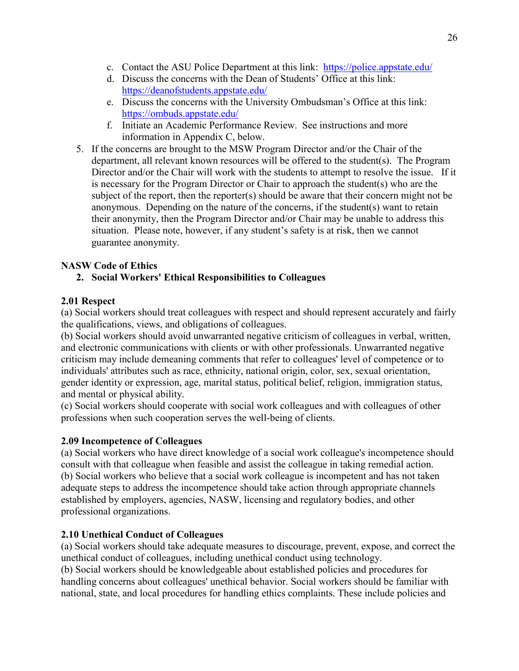- c. Contact the ASU Police Department at this link: <https://police.appstate.edu/>
- d. Discuss the concerns with the Dean of Students' Office at this link: <https://deanofstudents.appstate.edu/>
- e. Discuss the concerns with the University Ombudsman's Office at this link: <https://ombuds.appstate.edu/>
- f. Initiate an Academic Performance Review. See instructions and more information in Appendix C, below.
- 5. If the concerns are brought to the MSW Program Director and/or the Chair of the department, all relevant known resources will be offered to the student(s). The Program Director and/or the Chair will work with the students to attempt to resolve the issue. If it is necessary for the Program Director or Chair to approach the student(s) who are the subject of the report, then the reporter(s) should be aware that their concern might not be anonymous. Depending on the nature of the concerns, if the student(s) want to retain their anonymity, then the Program Director and/or Chair may be unable to address this situation. Please note, however, if any student's safety is at risk, then we cannot guarantee anonymity.

#### **NASW Code of Ethics**

#### **2. Social Workers' Ethical Responsibilities to Colleagues**

#### **2.01 Respect**

(a) Social workers should treat colleagues with respect and should represent accurately and fairly the qualifications, views, and obligations of colleagues.

(b) Social workers should avoid unwarranted negative criticism of colleagues in verbal, written, and electronic communications with clients or with other professionals. Unwarranted negative criticism may include demeaning comments that refer to colleagues' level of competence or to individuals' attributes such as race, ethnicity, national origin, color, sex, sexual orientation, gender identity or expression, age, marital status, political belief, religion, immigration status, and mental or physical ability.

(c) Social workers should cooperate with social work colleagues and with colleagues of other professions when such cooperation serves the well-being of clients.

#### **2.09 Incompetence of Colleagues**

(a) Social workers who have direct knowledge of a social work colleague's incompetence should consult with that colleague when feasible and assist the colleague in taking remedial action. (b) Social workers who believe that a social work colleague is incompetent and has not taken adequate steps to address the incompetence should take action through appropriate channels established by employers, agencies, NASW, licensing and regulatory bodies, and other professional organizations.

#### **2.10 Unethical Conduct of Colleagues**

(a) Social workers should take adequate measures to discourage, prevent, expose, and correct the unethical conduct of colleagues, including unethical conduct using technology.

(b) Social workers should be knowledgeable about established policies and procedures for handling concerns about colleagues' unethical behavior. Social workers should be familiar with national, state, and local procedures for handling ethics complaints. These include policies and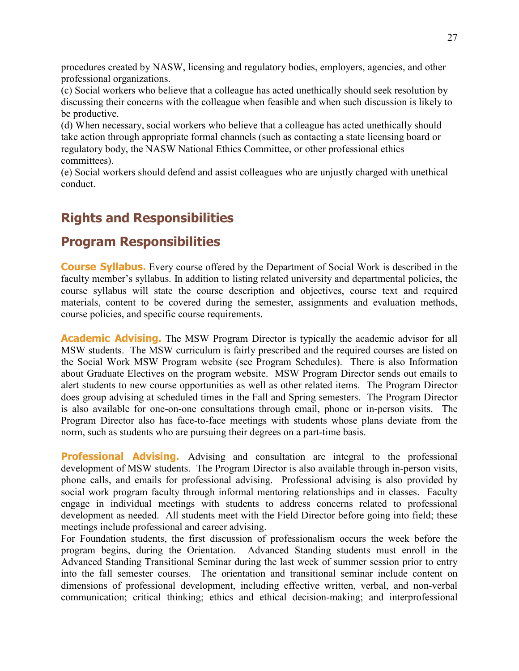procedures created by NASW, licensing and regulatory bodies, employers, agencies, and other professional organizations.

(c) Social workers who believe that a colleague has acted unethically should seek resolution by discussing their concerns with the colleague when feasible and when such discussion is likely to be productive.

(d) When necessary, social workers who believe that a colleague has acted unethically should take action through appropriate formal channels (such as contacting a state licensing board or regulatory body, the NASW National Ethics Committee, or other professional ethics committees).

(e) Social workers should defend and assist colleagues who are unjustly charged with unethical conduct.

## <span id="page-26-0"></span>**Rights and Responsibilities**

#### <span id="page-26-1"></span>**Program Responsibilities**

**Course Syllabus.** Every course offered by the Department of Social Work is described in the faculty member's syllabus. In addition to listing related university and departmental policies, the course syllabus will state the course description and objectives, course text and required materials, content to be covered during the semester, assignments and evaluation methods, course policies, and specific course requirements.

**Academic Advising.** The MSW Program Director is typically the academic advisor for all MSW students. The MSW curriculum is fairly prescribed and the required courses are listed on the Social Work MSW Program website (see Program Schedules). There is also Information about Graduate Electives on the program website. MSW Program Director sends out emails to alert students to new course opportunities as well as other related items. The Program Director does group advising at scheduled times in the Fall and Spring semesters. The Program Director is also available for one-on-one consultations through email, phone or in-person visits. The Program Director also has face-to-face meetings with students whose plans deviate from the norm, such as students who are pursuing their degrees on a part-time basis.

**Professional Advising.** Advising and consultation are integral to the professional development of MSW students. The Program Director is also available through in-person visits, phone calls, and emails for professional advising. Professional advising is also provided by social work program faculty through informal mentoring relationships and in classes. Faculty engage in individual meetings with students to address concerns related to professional development as needed. All students meet with the Field Director before going into field; these meetings include professional and career advising.

For Foundation students, the first discussion of professionalism occurs the week before the program begins, during the Orientation. Advanced Standing students must enroll in the Advanced Standing Transitional Seminar during the last week of summer session prior to entry into the fall semester courses. The orientation and transitional seminar include content on dimensions of professional development, including effective written, verbal, and non-verbal communication; critical thinking; ethics and ethical decision-making; and interprofessional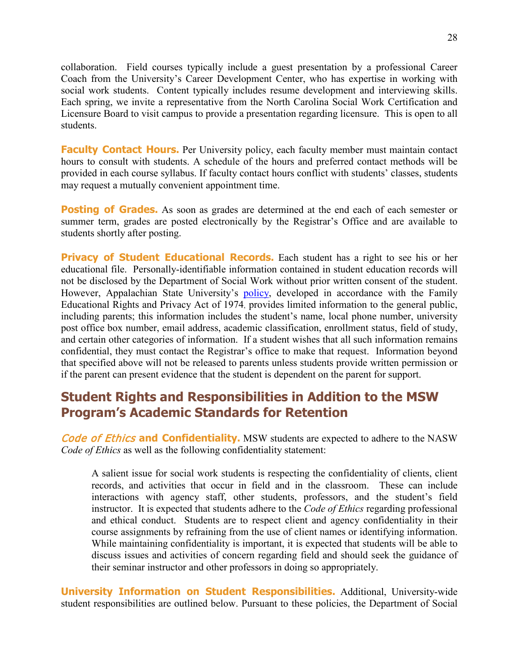collaboration. Field courses typically include a guest presentation by a professional Career Coach from the University's Career Development Center, who has expertise in working with social work students. Content typically includes resume development and interviewing skills. Each spring, we invite a representative from the North Carolina Social Work Certification and Licensure Board to visit campus to provide a presentation regarding licensure. This is open to all students.

**Faculty Contact Hours.** Per University policy, each faculty member must maintain contact hours to consult with students. A schedule of the hours and preferred contact methods will be provided in each course syllabus. If faculty contact hours conflict with students' classes, students may request a mutually convenient appointment time.

**Posting of Grades.** As soon as grades are determined at the end each of each semester or summer term, grades are posted electronically by the Registrar's Office and are available to students shortly after posting.

**Privacy of Student Educational Records.** Each student has a right to see his or her educational file. Personally-identifiable information contained in student education records will not be disclosed by the Department of Social Work without prior written consent of the student. However, Appalachian State University's [policy,](http://bulletin.appstate.edu/content.php?catoid=7&navoid=294#ferpa-privacy-and-release-of-student-information) developed in accordance with the Family Educational Rights and Privacy Act of 1974, provides limited information to the general public, including parents; this information includes the student's name, local phone number, university post office box number, email address, academic classification, enrollment status, field of study, and certain other categories of information. If a student wishes that all such information remains confidential, they must contact the Registrar's office to make that request. Information beyond that specified above will not be released to parents unless students provide written permission or if the parent can present evidence that the student is dependent on the parent for support.

## <span id="page-27-0"></span>**Student Rights and Responsibilities in Addition to the MSW Program's Academic Standards for Retention**

Code of Ethics **and Confidentiality.** MSW students are expected to adhere to the NASW *Code of Ethics* as well as the following confidentiality statement:

A salient issue for social work students is respecting the confidentiality of clients, client records, and activities that occur in field and in the classroom. These can include interactions with agency staff, other students, professors, and the student's field instructor. It is expected that students adhere to the *Code of Ethics* regarding professional and ethical conduct. Students are to respect client and agency confidentiality in their course assignments by refraining from the use of client names or identifying information. While maintaining confidentiality is important, it is expected that students will be able to discuss issues and activities of concern regarding field and should seek the guidance of their seminar instructor and other professors in doing so appropriately.

**University Information on Student Responsibilities.** Additional, University-wide student responsibilities are outlined below. Pursuant to these policies, the Department of Social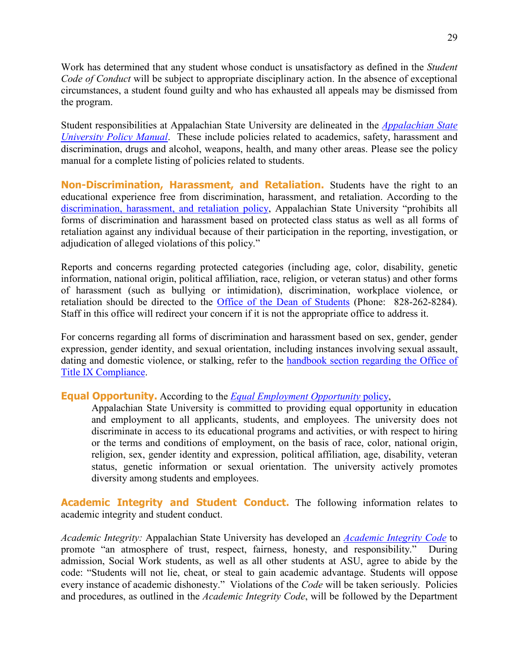Work has determined that any student whose conduct is unsatisfactory as defined in the *Student Code of Conduct* will be subject to appropriate disciplinary action. In the absence of exceptional circumstances, a student found guilty and who has exhausted all appeals may be dismissed from the program.

Student responsibilities at Appalachian State University are delineated in the *[Appalachian](http://policy.appstate.edu/Policy_Manual) State [University Policy Manual](http://policy.appstate.edu/Policy_Manual)*. These include policies related to academics, safety, harassment and discrimination, drugs and alcohol, weapons, health, and many other areas. Please see the policy manual for a complete listing of policies related to students.

**Non-Discrimination, Harassment, and Retaliation.** Students have the right to an educational experience free from discrimination, harassment, and retaliation. According to the [discrimination, harassment, and retaliation policy,](https://policy.appstate.edu/Discrimination,_Harassment_and_Retaliation) Appalachian State University "prohibits all forms of discrimination and harassment based on protected class status as well as all forms of retaliation against any individual because of their participation in the reporting, investigation, or adjudication of alleged violations of this policy."

Reports and concerns regarding protected categories (including age, color, disability, genetic information, national origin, political affiliation, race, religion, or veteran status) and other forms of harassment (such as bullying or intimidation), discrimination, workplace violence, or retaliation should be directed to the [Office of the Dean of Students](https://deanofstudents.appstate.edu/) (Phone: 828-262-8284). Staff in this office will redirect your concern if it is not the appropriate office to address it.

For concerns regarding all forms of discrimination and harassment based on sex, gender, gender expression, gender identity, and sexual orientation, including instances involving sexual assault, dating and domestic violence, or stalking, refer to the [handbook section regarding the Office of](#page-37-1)  [Title IX Compliance.](#page-37-1)

#### **Equal Opportunity.** According to the *[Equal Employment Opportunity](http://policy.appstate.edu/Equal_Employment_Opportunity)* policy,

Appalachian State University is committed to providing equal opportunity in education and employment to all applicants, students, and employees. The university does not discriminate in access to its educational programs and activities, or with respect to hiring or the terms and conditions of employment, on the basis of race, color, national origin, religion, sex, gender identity and expression, political affiliation, age, disability, veteran status, genetic information or sexual orientation. The university actively promotes diversity among students and employees.

**Academic Integrity and Student Conduct.** The following information relates to academic integrity and student conduct.

*Academic Integrity:* Appalachian State University has developed an *[Academic Integrity Code](http://studentconduct.appstate.edu/)* to promote "an atmosphere of trust, respect, fairness, honesty, and responsibility." During admission, Social Work students, as well as all other students at ASU, agree to abide by the code: "Students will not lie, cheat, or steal to gain academic advantage. Students will oppose every instance of academic dishonesty." Violations of the *Code* will be taken seriously. Policies and procedures, as outlined in the *Academic Integrity Code*, will be followed by the Department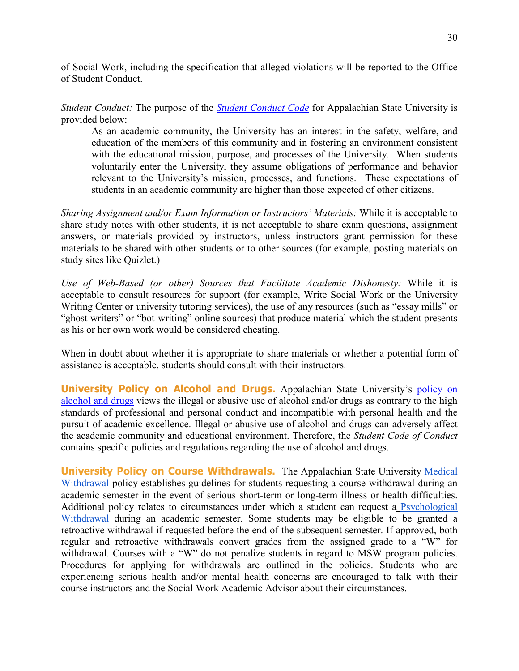of Social Work, including the specification that alleged violations will be reported to the Office of Student Conduct.

*Student Conduct:* The purpose of the *[Student Conduct Code](http://studentconduct.appstate.edu/)* for Appalachian State University is provided below:

As an academic community, the University has an interest in the safety, welfare, and education of the members of this community and in fostering an environment consistent with the educational mission, purpose, and processes of the University. When students voluntarily enter the University, they assume obligations of performance and behavior relevant to the University's mission, processes, and functions. These expectations of students in an academic community are higher than those expected of other citizens.

*Sharing Assignment and/or Exam Information or Instructors' Materials:* While it is acceptable to share study notes with other students, it is not acceptable to share exam questions, assignment answers, or materials provided by instructors, unless instructors grant permission for these materials to be shared with other students or to other sources (for example, posting materials on study sites like Quizlet.)

*Use of Web-Based (or other) Sources that Facilitate Academic Dishonesty:* While it is acceptable to consult resources for support (for example, Write Social Work or the University Writing Center or university tutoring services), the use of any resources (such as "essay mills" or "ghost writers" or "bot-writing" online sources) that produce material which the student presents as his or her own work would be considered cheating.

When in doubt about whether it is appropriate to share materials or whether a potential form of assistance is acceptable, students should consult with their instructors.

**University Policy on Alcohol and Drugs.** Appalachian State University's [policy on](http://policy.appstate.edu/Drugs_and_Alcohol)  [alcohol and drugs](http://policy.appstate.edu/Drugs_and_Alcohol) views the illegal or abusive use of alcohol and/or drugs as contrary to the high standards of professional and personal conduct and incompatible with personal health and the pursuit of academic excellence. Illegal or abusive use of alcohol and drugs can adversely affect the academic community and educational environment. Therefore, the *Student Code of Conduct* contains specific policies and regulations regarding the use of alcohol and drugs.

**University Policy on Course Withdrawals.** The Appalachian State University [Medical](https://policy.appstate.edu/Medical_Withdrawals)  [Withdrawal](https://policy.appstate.edu/Medical_Withdrawals) policy establishes guidelines for students requesting a course withdrawal during an academic semester in the event of serious short-term or long-term illness or health difficulties. Additional policy relates to circumstances under which a student can request a [Psychological](https://counseling.appstate.edu/index.php?module=pagesmith&uop=view_page&id=141)  [Withdrawal](https://counseling.appstate.edu/index.php?module=pagesmith&uop=view_page&id=141) during an academic semester. Some students may be eligible to be granted a retroactive withdrawal if requested before the end of the subsequent semester. If approved, both regular and retroactive withdrawals convert grades from the assigned grade to a "W" for withdrawal. Courses with a "W" do not penalize students in regard to MSW program policies. Procedures for applying for withdrawals are outlined in the policies. Students who are experiencing serious health and/or mental health concerns are encouraged to talk with their course instructors and the Social Work Academic Advisor about their circumstances.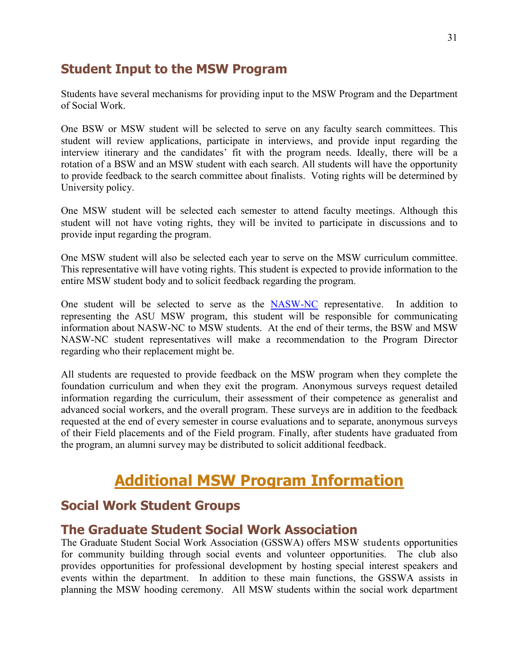#### <span id="page-30-0"></span>**Student Input to the MSW Program**

Students have several mechanisms for providing input to the MSW Program and the Department of Social Work.

One BSW or MSW student will be selected to serve on any faculty search committees. This student will review applications, participate in interviews, and provide input regarding the interview itinerary and the candidates' fit with the program needs. Ideally, there will be a rotation of a BSW and an MSW student with each search. All students will have the opportunity to provide feedback to the search committee about finalists. Voting rights will be determined by University policy.

One MSW student will be selected each semester to attend faculty meetings. Although this student will not have voting rights, they will be invited to participate in discussions and to provide input regarding the program.

One MSW student will also be selected each year to serve on the MSW curriculum committee. This representative will have voting rights. This student is expected to provide information to the entire MSW student body and to solicit feedback regarding the program.

One student will be selected to serve as the [NASW-NC](https://www.naswnc.org/default.aspx) representative. In addition to representing the ASU MSW program, this student will be responsible for communicating information about NASW-NC to MSW students. At the end of their terms, the BSW and MSW NASW-NC student representatives will make a recommendation to the Program Director regarding who their replacement might be.

All students are requested to provide feedback on the MSW program when they complete the foundation curriculum and when they exit the program. Anonymous surveys request detailed information regarding the curriculum, their assessment of their competence as generalist and advanced social workers, and the overall program. These surveys are in addition to the feedback requested at the end of every semester in course evaluations and to separate, anonymous surveys of their Field placements and of the Field program. Finally, after students have graduated from the program, an alumni survey may be distributed to solicit additional feedback.

# **Additional MSW Program Information**

### <span id="page-30-2"></span><span id="page-30-1"></span>**Social Work Student Groups**

#### <span id="page-30-3"></span>**The Graduate Student Social Work Association**

The Graduate Student Social Work Association (GSSWA) offers MSW students opportunities for community building through social events and volunteer opportunities. The club also provides opportunities for professional development by hosting special interest speakers and events within the department. In addition to these main functions, the GSSWA assists in planning the MSW hooding ceremony. All MSW students within the social work department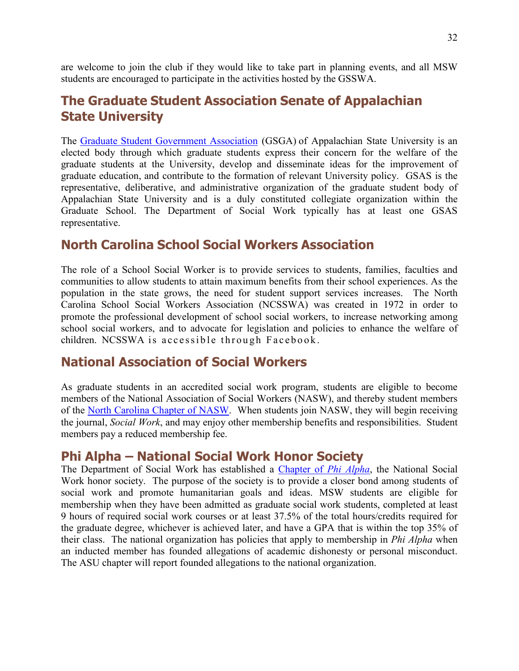are welcome to join the club if they would like to take part in planning events, and all MSW students are encouraged to participate in the activities hosted by the GSSWA.

### <span id="page-31-0"></span>**The Graduate Student Association Senate of Appalachian State University**

The [Graduate Student Government Association](http://gsas.appstate.edu/) (GSGA) of Appalachian State University is an elected body through which graduate students express their concern for the welfare of the graduate students at the University, develop and disseminate ideas for the improvement of graduate education, and contribute to the formation of relevant University policy. GSAS is the representative, deliberative, and administrative organization of the graduate student body of Appalachian State University and is a duly constituted collegiate organization within the Graduate School. The Department of Social Work typically has at least one GSAS representative.

#### <span id="page-31-1"></span>**North Carolina School Social Workers Association**

The role of a School Social Worker is to provide services to students, families, faculties and communities to allow students to attain maximum benefits from their school experiences. As the population in the state grows, the need for student support services increases. The North Carolina School Social Workers Association (NCSSWA) was created in 1972 in order to promote the professional development of school social workers, to increase networking among school social workers, and to advocate for legislation and policies to enhance the welfare of children. NCSSWA is accessible through Facebook.

#### <span id="page-31-2"></span>**National Association of Social Workers**

As graduate students in an accredited social work program, students are eligible to become members of the National Association of Social Workers (NASW), and thereby student members of the [North Carolina Chapter of NASW.](http://www.naswnc.org/) When students join NASW, they will begin receiving the journal, *Social Work*, and may enjoy other membership benefits and responsibilities. Student members pay a reduced membership fee.

#### <span id="page-31-3"></span>**Phi Alpha – National Social Work Honor Society**

The Department of Social Work has established a [Chapter of](http://www.phialpha.org/) *Phi Alpha*, the National Social Work honor society. The purpose of the society is to provide a closer bond among students of social work and promote humanitarian goals and ideas. MSW students are eligible for membership when they have been admitted as graduate social work students, completed at least 9 hours of required social work courses or at least 37.5% of the total hours/credits required for the graduate degree, whichever is achieved later, and have a GPA that is within the top 35% of their class. The national organization has policies that apply to membership in *Phi Alpha* when an inducted member has founded allegations of academic dishonesty or personal misconduct. The ASU chapter will report founded allegations to the national organization.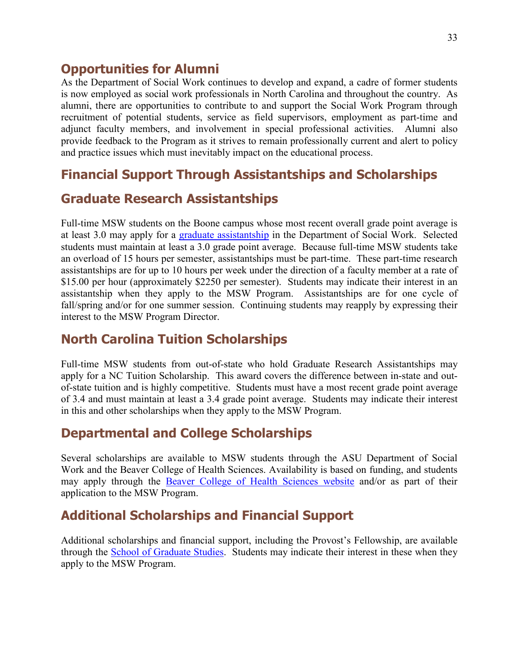#### <span id="page-32-0"></span>**Opportunities for Alumni**

As the Department of Social Work continues to develop and expand, a cadre of former students is now employed as social work professionals in North Carolina and throughout the country. As alumni, there are opportunities to contribute to and support the Social Work Program through recruitment of potential students, service as field supervisors, employment as part-time and adjunct faculty members, and involvement in special professional activities. Alumni also provide feedback to the Program as it strives to remain professionally current and alert to policy and practice issues which must inevitably impact on the educational process.

# <span id="page-32-1"></span>**Financial Support Through Assistantships and Scholarships**

## <span id="page-32-2"></span>**Graduate Research Assistantships**

Full-time MSW students on the Boone campus whose most recent overall grade point average is at least 3.0 may apply for a [graduate assistantship](http://www.graduate.appstate.edu/students/assistantships/index.html) in the Department of Social Work. Selected students must maintain at least a 3.0 grade point average. Because full-time MSW students take an overload of 15 hours per semester, assistantships must be part-time. These part-time research assistantships are for up to 10 hours per week under the direction of a faculty member at a rate of \$15.00 per hour (approximately \$2250 per semester). Students may indicate their interest in an assistantship when they apply to the MSW Program. Assistantships are for one cycle of fall/spring and/or for one summer session. Continuing students may reapply by expressing their interest to the MSW Program Director.

# <span id="page-32-3"></span>**North Carolina Tuition Scholarships**

Full-time MSW students from out-of-state who hold Graduate Research Assistantships may apply for a NC Tuition Scholarship. This award covers the difference between in-state and outof-state tuition and is highly competitive. Students must have a most recent grade point average of 3.4 and must maintain at least a 3.4 grade point average. Students may indicate their interest in this and other scholarships when they apply to the MSW Program.

### <span id="page-32-4"></span>**Departmental and College Scholarships**

Several scholarships are available to MSW students through the ASU Department of Social Work and the Beaver College of Health Sciences. Availability is based on funding, and students may apply through the [Beaver College of Health Sciences website](http://healthsciences.appstate.edu/student-services/scholarships) and/or as part of their application to the MSW Program.

# <span id="page-32-5"></span>**Additional Scholarships and Financial Support**

Additional scholarships and financial support, including the Provost's Fellowship, are available through the School [of Graduate Studies.](https://graduate.appstate.edu/enrolled-students/financial-support) Students may indicate their interest in these when they apply to the MSW Program.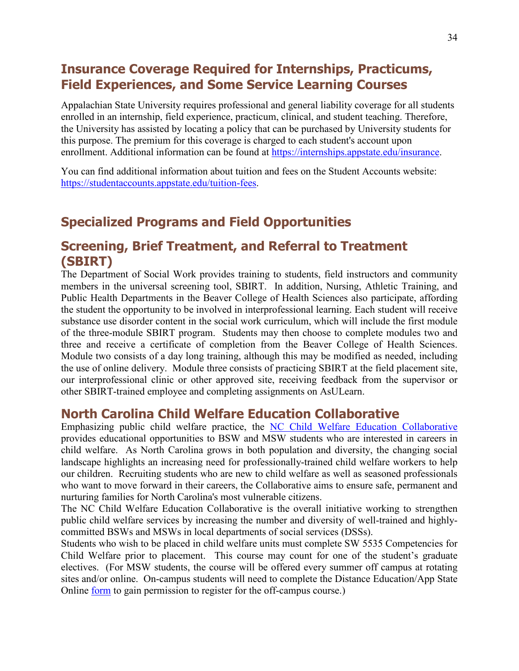# <span id="page-33-0"></span>**Insurance Coverage Required for Internships, Practicums, Field Experiences, and Some Service Learning Courses**

Appalachian State University requires professional and general liability coverage for all students enrolled in an internship, field experience, practicum, clinical, and student teaching. Therefore, the University has assisted by locating a policy that can be purchased by University students for this purpose. The premium for this coverage is charged to each student's account upon enrollment. Additional information can be found at [https://internships.appstate.edu/insurance.](https://internships.appstate.edu/insurance)

You can find additional information about tuition and fees on the Student Accounts website: [https://studentaccounts.appstate.edu/tuition-fees.](https://studentaccounts.appstate.edu/tuition-fees)

## <span id="page-33-1"></span>**Specialized Programs and Field Opportunities**

#### <span id="page-33-2"></span>**Screening, Brief Treatment, and Referral to Treatment (SBIRT)**

The Department of Social Work provides training to students, field instructors and community members in the universal screening tool, SBIRT. In addition, Nursing, Athletic Training, and Public Health Departments in the Beaver College of Health Sciences also participate, affording the student the opportunity to be involved in interprofessional learning. Each student will receive substance use disorder content in the social work curriculum, which will include the first module of the three-module SBIRT program. Students may then choose to complete modules two and three and receive a certificate of completion from the Beaver College of Health Sciences. Module two consists of a day long training, although this may be modified as needed, including the use of online delivery. Module three consists of practicing SBIRT at the field placement site, our interprofessional clinic or other approved site, receiving feedback from the supervisor or other SBIRT-trained employee and completing assignments on AsULearn.

#### <span id="page-33-3"></span>**North Carolina Child Welfare Education Collaborative**

Emphasizing public child welfare practice, the [NC Child Welfare Education Collaborative](https://cwec.web.unc.edu/) provides educational opportunities to BSW and MSW students who are interested in careers in child welfare. As North Carolina grows in both population and diversity, the changing social landscape highlights an increasing need for professionally-trained child welfare workers to help our children. Recruiting students who are new to child welfare as well as seasoned professionals who want to move forward in their careers, the Collaborative aims to ensure safe, permanent and nurturing families for North Carolina's most vulnerable citizens.

The NC Child Welfare Education Collaborative is the overall initiative working to strengthen public child welfare services by increasing the number and diversity of well-trained and highlycommitted BSWs and MSWs in local departments of social services (DSSs).

Students who wish to be placed in child welfare units must complete SW 5535 Competencies for Child Welfare prior to placement. This course may count for one of the student's graduate electives. (For MSW students, the course will be offered every summer off campus at rotating sites and/or online. On-campus students will need to complete the Distance Education/App State Online [form](http://extension.appstate.edu/permit.php) to gain permission to register for the off-campus course.)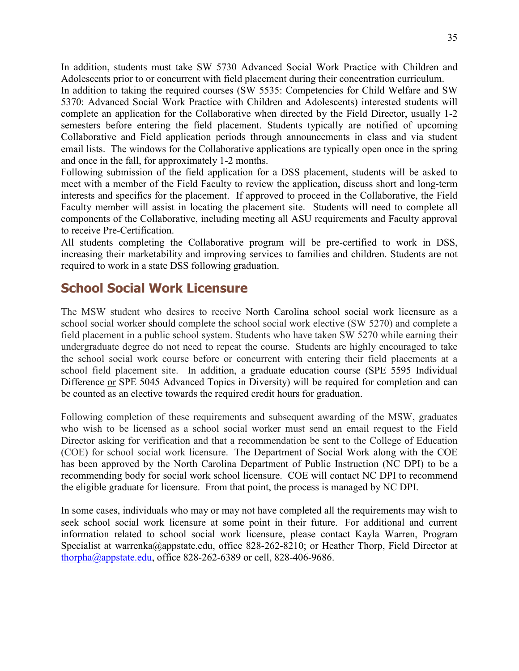In addition, students must take SW 5730 Advanced Social Work Practice with Children and Adolescents prior to or concurrent with field placement during their concentration curriculum.

In addition to taking the required courses (SW 5535: Competencies for Child Welfare and SW 5370: Advanced Social Work Practice with Children and Adolescents) interested students will complete an application for the Collaborative when directed by the Field Director, usually 1-2 semesters before entering the field placement. Students typically are notified of upcoming Collaborative and Field application periods through announcements in class and via student email lists. The windows for the Collaborative applications are typically open once in the spring and once in the fall, for approximately 1-2 months.

Following submission of the field application for a DSS placement, students will be asked to meet with a member of the Field Faculty to review the application, discuss short and long-term interests and specifics for the placement. If approved to proceed in the Collaborative, the Field Faculty member will assist in locating the placement site. Students will need to complete all components of the Collaborative, including meeting all ASU requirements and Faculty approval to receive Pre-Certification.

All students completing the Collaborative program will be pre-certified to work in DSS, increasing their marketability and improving services to families and children. Students are not required to work in a state DSS following graduation.

#### <span id="page-34-0"></span>**School Social Work Licensure**

The MSW student who desires to receive North Carolina school social work licensure as a school social worker should complete the school social work elective (SW 5270) and complete a field placement in a public school system. Students who have taken SW 5270 while earning their undergraduate degree do not need to repeat the course. Students are highly encouraged to take the school social work course before or concurrent with entering their field placements at a school field placement site. In addition, a graduate education course (SPE 5595 Individual Difference or SPE 5045 Advanced Topics in Diversity) will be required for completion and can be counted as an elective towards the required credit hours for graduation.

Following completion of these requirements and subsequent awarding of the MSW, graduates who wish to be licensed as a school social worker must send an email request to the Field Director asking for verification and that a recommendation be sent to the College of Education (COE) for school social work licensure. The Department of Social Work along with the COE has been approved by the North Carolina Department of Public Instruction (NC DPI) to be a recommending body for social work school licensure. COE will contact NC DPI to recommend the eligible graduate for licensure. From that point, the process is managed by NC DPI.

In some cases, individuals who may or may not have completed all the requirements may wish to seek school social work licensure at some point in their future. For additional and current information related to school social work licensure, please contact Kayla Warren, Program Specialist at [warrenka@appstate.edu,](mailto:warrenka@appstate.edu) office 828-262-8210; or Heather Thorp, Field Director at [thorpha@appstate.edu,](mailto:thorpha@appstate.edu) office 828-262-6389 or cell, 828-406-9686.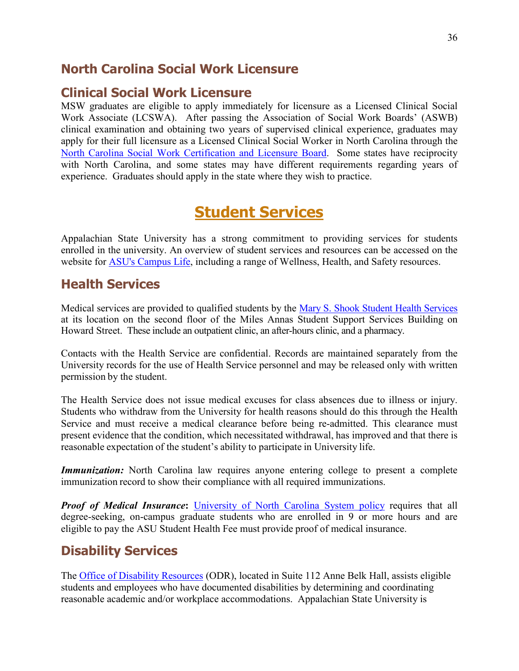#### <span id="page-35-0"></span>**North Carolina Social Work Licensure**

#### <span id="page-35-1"></span>**Clinical Social Work Licensure**

MSW graduates are eligible to apply immediately for licensure as a Licensed Clinical Social Work Associate (LCSWA). After passing the Association of Social Work Boards' (ASWB) clinical examination and obtaining two years of supervised clinical experience, graduates may apply for their full licensure as a Licensed Clinical Social Worker in North Carolina through the [North Carolina Social Work Certification and Licensure Board.](http://www.ncswboard.org/) Some states have reciprocity with North Carolina, and some states may have different requirements regarding years of experience. Graduates should apply in the state where they wish to practice.

# **Student Services**

<span id="page-35-2"></span>Appalachian State University has a strong commitment to providing services for students enrolled in the university. An overview of student services and resources can be accessed on the website for [ASU's Campus](http://www.appstate.edu/studentlife/services.php) Life, including a range of Wellness, Health, and Safety resources.

### <span id="page-35-3"></span>**Health Services**

Medical services are provided to qualified students by the [Mary S. Shook Student Health Services](http://healthservices.appstate.edu/) at its location on the second floor of the Miles Annas Student Support Services Building on Howard Street. These include an outpatient clinic, an after-hours clinic, and a pharmacy.

Contacts with the Health Service are confidential. Records are maintained separately from the University records for the use of Health Service personnel and may be released only with written permission by the student.

The Health Service does not issue medical excuses for class absences due to illness or injury. Students who withdraw from the University for health reasons should do this through the Health Service and must receive a medical clearance before being re-admitted. This clearance must present evidence that the condition, which necessitated withdrawal, has improved and that there is reasonable expectation of the student's ability to participate in University life.

*Immunization:* North Carolina law requires anyone entering college to present a complete immunization record to show their compliance with all required immunizations.

**Proof of Medical Insurance:** [University of North Carolina System policy](http://healthservices.appstate.edu/pagesmith/203) requires that all degree-seeking, on-campus graduate students who are enrolled in 9 or more hours and are eligible to pay the ASU Student Health Fee must provide proof of medical insurance.

# <span id="page-35-4"></span>**Disability Services**

The [Office of Disability Resources](https://odr.appstate.edu/) (ODR), located in Suite 112 Anne Belk Hall, assists eligible students and employees who have documented disabilities by determining and coordinating reasonable academic and/or workplace accommodations. Appalachian State University is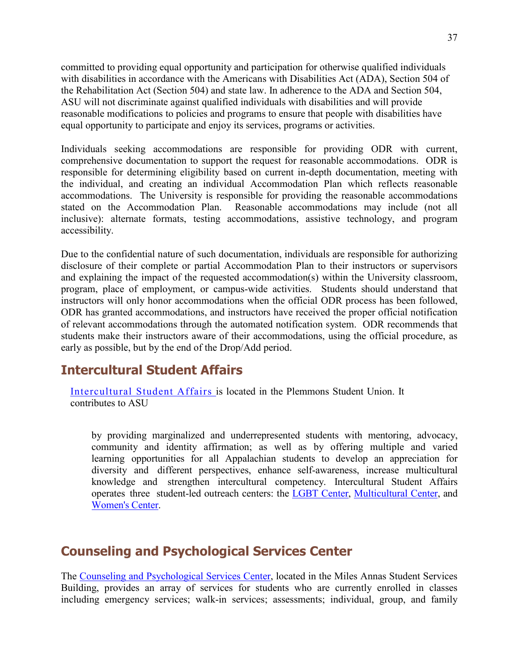committed to providing equal opportunity and participation for otherwise qualified individuals with disabilities in accordance with the Americans with Disabilities Act (ADA), Section 504 of the Rehabilitation Act (Section 504) and state law. In adherence to the ADA and Section 504, ASU will not discriminate against qualified individuals with disabilities and will provide reasonable modifications to policies and programs to ensure that people with disabilities have equal opportunity to participate and enjoy its services, programs or activities.

Individuals seeking accommodations are responsible for providing ODR with current, comprehensive documentation to support the request for reasonable accommodations. ODR is responsible for determining eligibility based on current in-depth documentation, meeting with the individual, and creating an individual Accommodation Plan which reflects reasonable accommodations. The University is responsible for providing the reasonable accommodations stated on the Accommodation Plan. Reasonable accommodations may include (not all inclusive): alternate formats, testing accommodations, assistive technology, and program accessibility.

Due to the confidential nature of such documentation, individuals are responsible for authorizing disclosure of their complete or partial Accommodation Plan to their instructors or supervisors and explaining the impact of the requested accommodation(s) within the University classroom, program, place of employment, or campus-wide activities. Students should understand that instructors will only honor accommodations when the official ODR process has been followed, ODR has granted accommodations, and instructors have received the proper official notification of relevant accommodations through the automated notification system. ODR recommends that students make their instructors aware of their accommodations, using the official procedure, as early as possible, but by the end of the Drop/Add period.

### <span id="page-36-0"></span>**Intercultural Student Affairs**

[Intercultural Student Affairs](https://intercultural.appstate.edu/) is located in the Plemmons Student Union. It contributes to ASU

by providing marginalized and underrepresented students with mentoring, advocacy, community and identity affirmation; as well as by offering multiple and varied learning opportunities for all Appalachian students to develop an appreciation for diversity and different perspectives, enhance self-awareness, increase multicultural knowledge and strengthen intercultural competency. Intercultural Student Affairs operates three student-led outreach centers: the **LGBT Center**, Multicultural [Center,](https://lgbt.appstate.edu/) and [Women's](https://womenscenter.appstate.edu/) Center.

### <span id="page-36-1"></span>**Counseling and Psychological Services Center**

The [Counseling and Psychological Services Center,](http://counseling.appstate.edu/index.php) located in the Miles Annas Student Services Building, provides an array of services for students who are currently enrolled in classes including emergency services; walk-in services; assessments; individual, group, and family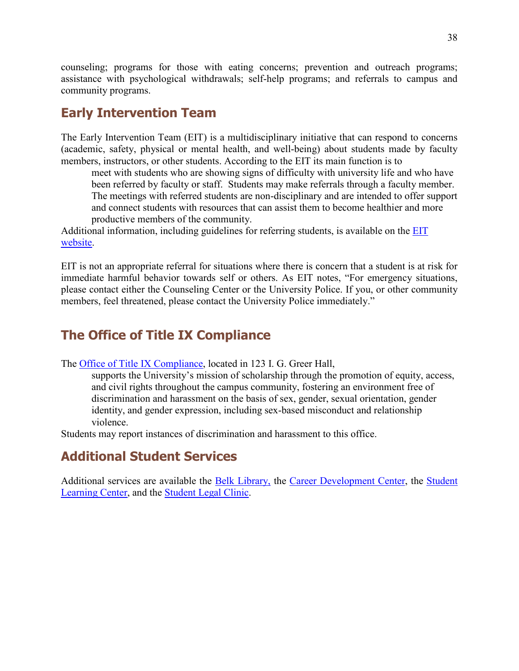counseling; programs for those with eating concerns; prevention and outreach programs; assistance with psychological withdrawals; self-help programs; and referrals to campus and community programs.

#### <span id="page-37-0"></span>**Early Intervention Team**

The Early Intervention Team (EIT) is a multidisciplinary initiative that can respond to concerns (academic, safety, physical or mental health, and well-being) about students made by faculty members, instructors, or other students. According to the EIT its main function is to

meet with students who are showing signs of difficulty with university life and who have been referred by faculty or staff. Students may make referrals through a faculty member. The meetings with referred students are non-disciplinary and are intended to offer support and connect students with resources that can assist them to become healthier and more productive members of the community.

Additional information, including guidelines for referring students, is available on the EIT [website.](http://eit.appstate.edu/)

EIT is not an appropriate referral for situations where there is concern that a student is at risk for immediate harmful behavior towards self or others. As EIT notes, "For emergency situations, please contact either the Counseling Center or the University Police. If you, or other community members, feel threatened, please contact the University Police immediately."

# <span id="page-37-1"></span>**The Office of Title IX Compliance**

The Office of [Title IX Compliance,](https://titleix.appstate.edu/) located in 123 I. G. Greer Hall,

supports the University's mission of scholarship through the promotion of equity, access, and civil rights throughout the campus community, fostering an environment free of discrimination and harassment on the basis of sex, gender, sexual orientation, gender identity, and gender expression, including sex-based misconduct and relationship violence.

Students may report instances of discrimination and harassment to this office.

# <span id="page-37-2"></span>**Additional Student Services**

Additional services are available the [Belk Library,](http://www.library.appstate.edu/) the [Career Development Center,](http://careers.appstate.edu/) the Student [Learning Center,](https://studentlearningcenter.appstate.edu/) and the [Student Legal Clinic.](https://legalclinic.appstate.edu/)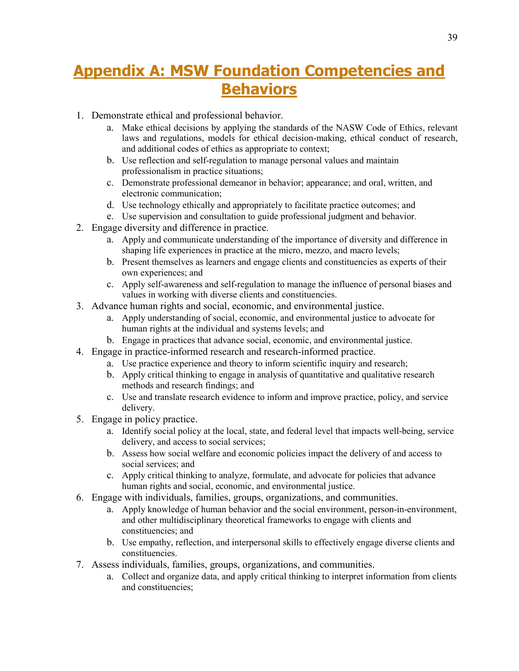# <span id="page-38-0"></span>**Appendix A: MSW Foundation Competencies and Behaviors**

- 1. Demonstrate ethical and professional behavior.
	- a. Make ethical decisions by applying the standards of the NASW Code of Ethics, relevant laws and regulations, models for ethical decision-making, ethical conduct of research, and additional codes of ethics as appropriate to context;
	- b. Use reflection and self-regulation to manage personal values and maintain professionalism in practice situations;
	- c. Demonstrate professional demeanor in behavior; appearance; and oral, written, and electronic communication;
	- d. Use technology ethically and appropriately to facilitate practice outcomes; and
	- e. Use supervision and consultation to guide professional judgment and behavior.
- 2. Engage diversity and difference in practice.
	- a. Apply and communicate understanding of the importance of diversity and difference in shaping life experiences in practice at the micro, mezzo, and macro levels;
	- b. Present themselves as learners and engage clients and constituencies as experts of their own experiences; and
	- c. Apply self-awareness and self-regulation to manage the influence of personal biases and values in working with diverse clients and constituencies.
- 3. Advance human rights and social, economic, and environmental justice.
	- a. Apply understanding of social, economic, and environmental justice to advocate for human rights at the individual and systems levels; and
	- b. Engage in practices that advance social, economic, and environmental justice.
- 4. Engage in practice-informed research and research-informed practice.
	- a. Use practice experience and theory to inform scientific inquiry and research;
	- b. Apply critical thinking to engage in analysis of quantitative and qualitative research methods and research findings; and
	- c. Use and translate research evidence to inform and improve practice, policy, and service delivery.
- 5. Engage in policy practice.
	- a. Identify social policy at the local, state, and federal level that impacts well-being, service delivery, and access to social services;
	- b. Assess how social welfare and economic policies impact the delivery of and access to social services; and
	- c. Apply critical thinking to analyze, formulate, and advocate for policies that advance human rights and social, economic, and environmental justice.
- 6. Engage with individuals, families, groups, organizations, and communities.
	- a. Apply knowledge of human behavior and the social environment, person-in-environment, and other multidisciplinary theoretical frameworks to engage with clients and constituencies; and
	- b. Use empathy, reflection, and interpersonal skills to effectively engage diverse clients and constituencies.
- 7. Assess individuals, families, groups, organizations, and communities.
	- a. Collect and organize data, and apply critical thinking to interpret information from clients and constituencies;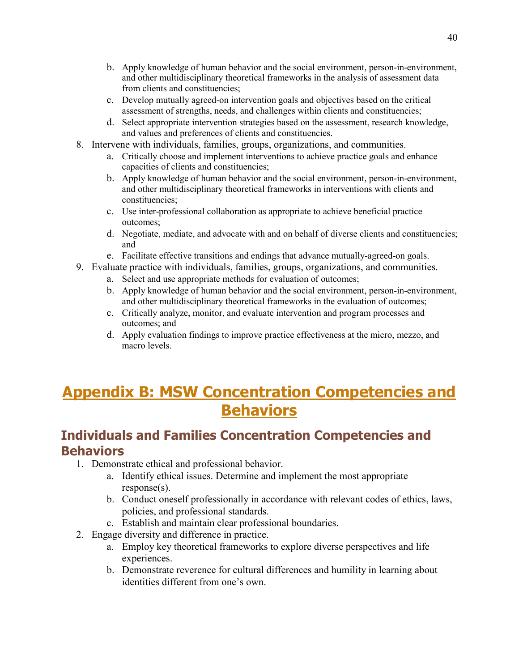- b. Apply knowledge of human behavior and the social environment, person-in-environment, and other multidisciplinary theoretical frameworks in the analysis of assessment data from clients and constituencies;
- c. Develop mutually agreed-on intervention goals and objectives based on the critical assessment of strengths, needs, and challenges within clients and constituencies;
- d. Select appropriate intervention strategies based on the assessment, research knowledge, and values and preferences of clients and constituencies.
- 8. Intervene with individuals, families, groups, organizations, and communities.
	- a. Critically choose and implement interventions to achieve practice goals and enhance capacities of clients and constituencies;
	- b. Apply knowledge of human behavior and the social environment, person-in-environment, and other multidisciplinary theoretical frameworks in interventions with clients and constituencies;
	- c. Use inter-professional collaboration as appropriate to achieve beneficial practice outcomes;
	- d. Negotiate, mediate, and advocate with and on behalf of diverse clients and constituencies; and
	- e. Facilitate effective transitions and endings that advance mutually-agreed-on goals.
- 9. Evaluate practice with individuals, families, groups, organizations, and communities.
	- a. Select and use appropriate methods for evaluation of outcomes;
	- b. Apply knowledge of human behavior and the social environment, person-in-environment, and other multidisciplinary theoretical frameworks in the evaluation of outcomes;
	- c. Critically analyze, monitor, and evaluate intervention and program processes and outcomes; and
	- d. Apply evaluation findings to improve practice effectiveness at the micro, mezzo, and macro levels.

# <span id="page-39-0"></span>**Appendix B: MSW Concentration Competencies and Behaviors**

# <span id="page-39-1"></span>**Individuals and Families Concentration Competencies and Behaviors**

- 1. Demonstrate ethical and professional behavior.
	- a. Identify ethical issues. Determine and implement the most appropriate response(s).
	- b. Conduct oneself professionally in accordance with relevant codes of ethics, laws, policies, and professional standards.
	- c. Establish and maintain clear professional boundaries.
- 2. Engage diversity and difference in practice.
	- a. Employ key theoretical frameworks to explore diverse perspectives and life experiences.
	- b. Demonstrate reverence for cultural differences and humility in learning about identities different from one's own.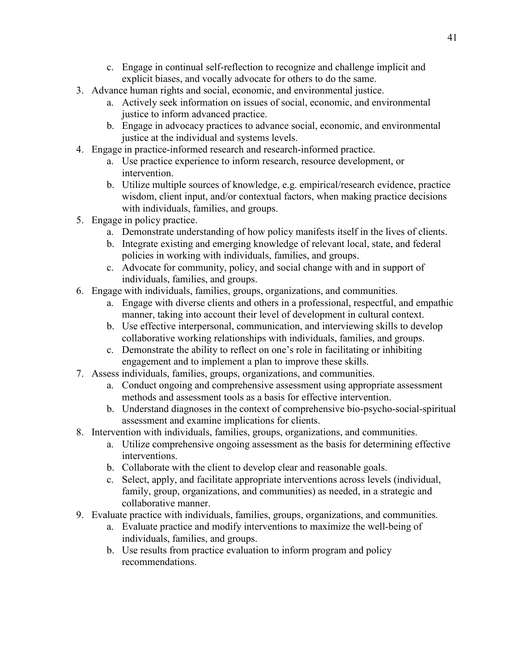- c. Engage in continual self-reflection to recognize and challenge implicit and explicit biases, and vocally advocate for others to do the same.
- 3. Advance human rights and social, economic, and environmental justice.
	- a. Actively seek information on issues of social, economic, and environmental justice to inform advanced practice.
	- b. Engage in advocacy practices to advance social, economic, and environmental justice at the individual and systems levels.
- 4. Engage in practice-informed research and research-informed practice.
	- a. Use practice experience to inform research, resource development, or intervention.
	- b. Utilize multiple sources of knowledge, e.g. empirical/research evidence, practice wisdom, client input, and/or contextual factors, when making practice decisions with individuals, families, and groups.
- 5. Engage in policy practice.
	- a. Demonstrate understanding of how policy manifests itself in the lives of clients.
	- b. Integrate existing and emerging knowledge of relevant local, state, and federal policies in working with individuals, families, and groups.
	- c. Advocate for community, policy, and social change with and in support of individuals, families, and groups.
- 6. Engage with individuals, families, groups, organizations, and communities.
	- a. Engage with diverse clients and others in a professional, respectful, and empathic manner, taking into account their level of development in cultural context.
	- b. Use effective interpersonal, communication, and interviewing skills to develop collaborative working relationships with individuals, families, and groups.
	- c. Demonstrate the ability to reflect on one's role in facilitating or inhibiting engagement and to implement a plan to improve these skills.
- 7. Assess individuals, families, groups, organizations, and communities.
	- a. Conduct ongoing and comprehensive assessment using appropriate assessment methods and assessment tools as a basis for effective intervention.
	- b. Understand diagnoses in the context of comprehensive bio-psycho-social-spiritual assessment and examine implications for clients.
- 8. Intervention with individuals, families, groups, organizations, and communities.
	- a. Utilize comprehensive ongoing assessment as the basis for determining effective interventions.
	- b. Collaborate with the client to develop clear and reasonable goals.
	- c. Select, apply, and facilitate appropriate interventions across levels (individual, family, group, organizations, and communities) as needed, in a strategic and collaborative manner.
- 9. Evaluate practice with individuals, families, groups, organizations, and communities.
	- a. Evaluate practice and modify interventions to maximize the well-being of individuals, families, and groups.
	- b. Use results from practice evaluation to inform program and policy recommendations.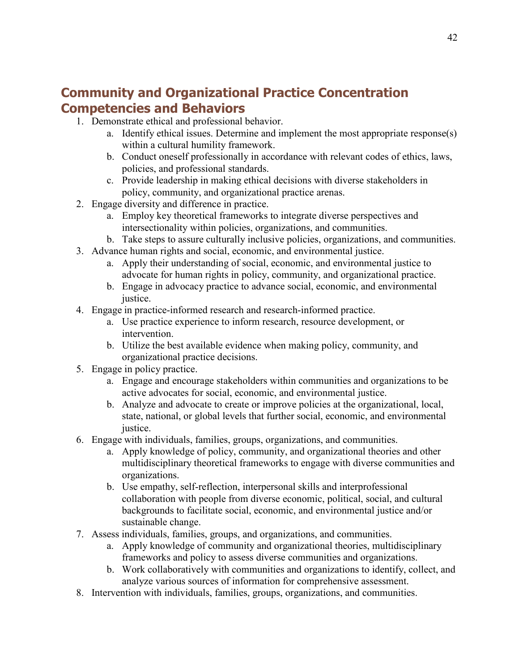# <span id="page-41-0"></span>**Community and Organizational Practice Concentration Competencies and Behaviors**

- 1. Demonstrate ethical and professional behavior.
	- a. Identify ethical issues. Determine and implement the most appropriate response(s) within a cultural humility framework.
	- b. Conduct oneself professionally in accordance with relevant codes of ethics, laws, policies, and professional standards.
	- c. Provide leadership in making ethical decisions with diverse stakeholders in policy, community, and organizational practice arenas.
- 2. Engage diversity and difference in practice.
	- a. Employ key theoretical frameworks to integrate diverse perspectives and intersectionality within policies, organizations, and communities.
	- b. Take steps to assure culturally inclusive policies, organizations, and communities.
- 3. Advance human rights and social, economic, and environmental justice.
	- a. Apply their understanding of social, economic, and environmental justice to advocate for human rights in policy, community, and organizational practice.
	- b. Engage in advocacy practice to advance social, economic, and environmental justice.
- 4. Engage in practice-informed research and research-informed practice.
	- a. Use practice experience to inform research, resource development, or intervention.
	- b. Utilize the best available evidence when making policy, community, and organizational practice decisions.
- 5. Engage in policy practice.
	- a. Engage and encourage stakeholders within communities and organizations to be active advocates for social, economic, and environmental justice.
	- b. Analyze and advocate to create or improve policies at the organizational, local, state, national, or global levels that further social, economic, and environmental justice.
- 6. Engage with individuals, families, groups, organizations, and communities.
	- a. Apply knowledge of policy, community, and organizational theories and other multidisciplinary theoretical frameworks to engage with diverse communities and organizations.
	- b. Use empathy, self-reflection, interpersonal skills and interprofessional collaboration with people from diverse economic, political, social, and cultural backgrounds to facilitate social, economic, and environmental justice and/or sustainable change.
- 7. Assess individuals, families, groups, and organizations, and communities.
	- a. Apply knowledge of community and organizational theories, multidisciplinary frameworks and policy to assess diverse communities and organizations.
	- b. Work collaboratively with communities and organizations to identify, collect, and analyze various sources of information for comprehensive assessment.
- 8. Intervention with individuals, families, groups, organizations, and communities.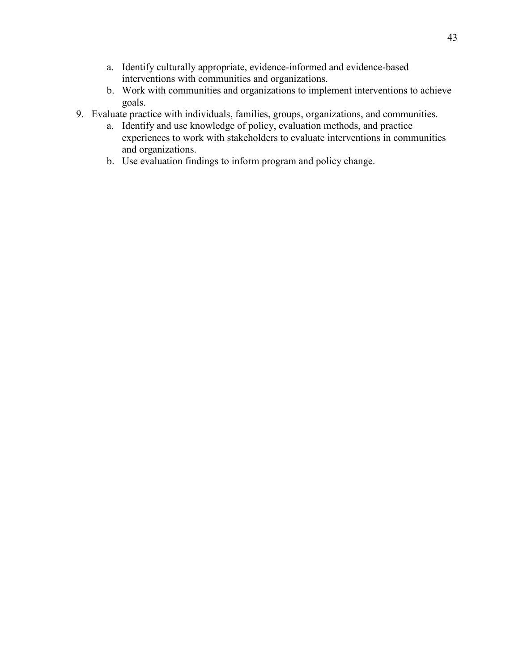- a. Identify culturally appropriate, evidence-informed and evidence-based interventions with communities and organizations.
- b. Work with communities and organizations to implement interventions to achieve goals.
- 9. Evaluate practice with individuals, families, groups, organizations, and communities.
	- a. Identify and use knowledge of policy, evaluation methods, and practice experiences to work with stakeholders to evaluate interventions in communities and organizations.
	- b. Use evaluation findings to inform program and policy change.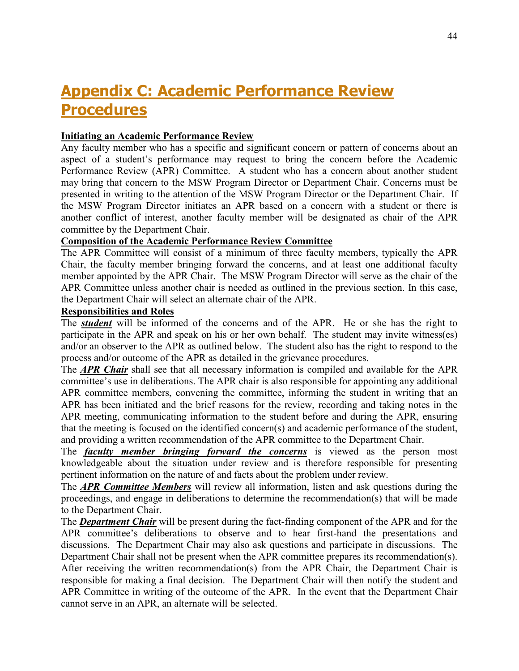# <span id="page-43-0"></span>**Appendix C: Academic Performance Review Procedures**

#### **Initiating an Academic Performance Review**

Any faculty member who has a specific and significant concern or pattern of concerns about an aspect of a student's performance may request to bring the concern before the Academic Performance Review (APR) Committee. A student who has a concern about another student may bring that concern to the MSW Program Director or Department Chair. Concerns must be presented in writing to the attention of the MSW Program Director or the Department Chair. If the MSW Program Director initiates an APR based on a concern with a student or there is another conflict of interest, another faculty member will be designated as chair of the APR committee by the Department Chair.

#### **Composition of the Academic Performance Review Committee**

The APR Committee will consist of a minimum of three faculty members, typically the APR Chair, the faculty member bringing forward the concerns, and at least one additional faculty member appointed by the APR Chair. The MSW Program Director will serve as the chair of the APR Committee unless another chair is needed as outlined in the previous section. In this case, the Department Chair will select an alternate chair of the APR.

#### **Responsibilities and Roles**

The *student* will be informed of the concerns and of the APR. He or she has the right to participate in the APR and speak on his or her own behalf. The student may invite witness(es) and/or an observer to the APR as outlined below. The student also has the right to respond to the process and/or outcome of the APR as detailed in the grievance procedures.

The *APR Chair* shall see that all necessary information is compiled and available for the APR committee's use in deliberations. The APR chair is also responsible for appointing any additional APR committee members, convening the committee, informing the student in writing that an APR has been initiated and the brief reasons for the review, recording and taking notes in the APR meeting, communicating information to the student before and during the APR, ensuring that the meeting is focused on the identified concern(s) and academic performance of the student, and providing a written recommendation of the APR committee to the Department Chair.

The *faculty member bringing forward the concerns* is viewed as the person most knowledgeable about the situation under review and is therefore responsible for presenting pertinent information on the nature of and facts about the problem under review.

The *APR Committee Members* will review all information, listen and ask questions during the proceedings, and engage in deliberations to determine the recommendation(s) that will be made to the Department Chair.

The *Department Chair* will be present during the fact-finding component of the APR and for the APR committee's deliberations to observe and to hear first-hand the presentations and discussions. The Department Chair may also ask questions and participate in discussions. The Department Chair shall not be present when the APR committee prepares its recommendation(s). After receiving the written recommendation(s) from the APR Chair, the Department Chair is responsible for making a final decision. The Department Chair will then notify the student and APR Committee in writing of the outcome of the APR. In the event that the Department Chair cannot serve in an APR, an alternate will be selected.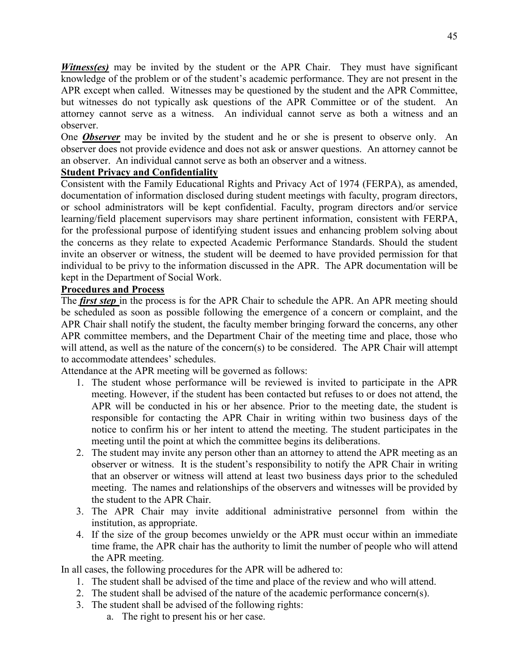*Witness(es)* may be invited by the student or the APR Chair. They must have significant knowledge of the problem or of the student's academic performance. They are not present in the APR except when called. Witnesses may be questioned by the student and the APR Committee, but witnesses do not typically ask questions of the APR Committee or of the student. An attorney cannot serve as a witness. An individual cannot serve as both a witness and an observer.

One *Observer* may be invited by the student and he or she is present to observe only. An observer does not provide evidence and does not ask or answer questions. An attorney cannot be an observer. An individual cannot serve as both an observer and a witness.

#### **Student Privacy and Confidentiality**

Consistent with the Family Educational Rights and Privacy Act of 1974 (FERPA), as amended, documentation of information disclosed during student meetings with faculty, program directors, or school administrators will be kept confidential. Faculty, program directors and/or service learning/field placement supervisors may share pertinent information, consistent with FERPA, for the professional purpose of identifying student issues and enhancing problem solving about the concerns as they relate to expected Academic Performance Standards. Should the student invite an observer or witness, the student will be deemed to have provided permission for that individual to be privy to the information discussed in the APR. The APR documentation will be kept in the Department of Social Work.

#### **Procedures and Process**

The *first step* in the process is for the APR Chair to schedule the APR. An APR meeting should be scheduled as soon as possible following the emergence of a concern or complaint, and the APR Chair shall notify the student, the faculty member bringing forward the concerns, any other APR committee members, and the Department Chair of the meeting time and place, those who will attend, as well as the nature of the concern(s) to be considered. The APR Chair will attempt to accommodate attendees' schedules.

Attendance at the APR meeting will be governed as follows:

- 1. The student whose performance will be reviewed is invited to participate in the APR meeting. However, if the student has been contacted but refuses to or does not attend, the APR will be conducted in his or her absence. Prior to the meeting date, the student is responsible for contacting the APR Chair in writing within two business days of the notice to confirm his or her intent to attend the meeting. The student participates in the meeting until the point at which the committee begins its deliberations.
- 2. The student may invite any person other than an attorney to attend the APR meeting as an observer or witness. It is the student's responsibility to notify the APR Chair in writing that an observer or witness will attend at least two business days prior to the scheduled meeting. The names and relationships of the observers and witnesses will be provided by the student to the APR Chair.
- 3. The APR Chair may invite additional administrative personnel from within the institution, as appropriate.
- 4. If the size of the group becomes unwieldy or the APR must occur within an immediate time frame, the APR chair has the authority to limit the number of people who will attend the APR meeting.

In all cases, the following procedures for the APR will be adhered to:

- 1. The student shall be advised of the time and place of the review and who will attend.
- 2. The student shall be advised of the nature of the academic performance concern(s).
- 3. The student shall be advised of the following rights:
	- a. The right to present his or her case.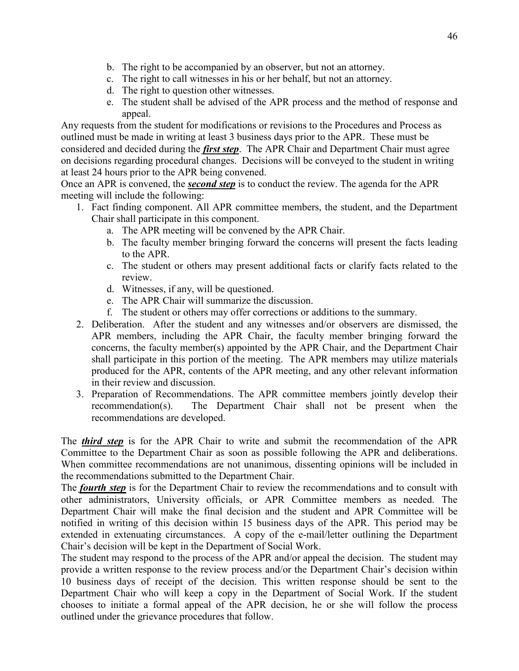- b. The right to be accompanied by an observer, but not an attorney.
- c. The right to call witnesses in his or her behalf, but not an attorney.
- d. The right to question other witnesses.
- e. The student shall be advised of the APR process and the method of response and appeal.

Any requests from the student for modifications or revisions to the Procedures and Process as outlined must be made in writing at least 3 business days prior to the APR. These must be considered and decided during the *first step*. The APR Chair and Department Chair must agree on decisions regarding procedural changes. Decisions will be conveyed to the student in writing at least 24 hours prior to the APR being convened.

Once an APR is convened, the *second step* is to conduct the review. The agenda for the APR meeting will include the following:

- 1. Fact finding component. All APR committee members, the student, and the Department Chair shall participate in this component.
	- a. The APR meeting will be convened by the APR Chair.
	- b. The faculty member bringing forward the concerns will present the facts leading to the APR.
	- c. The student or others may present additional facts or clarify facts related to the review.
	- d. Witnesses, if any, will be questioned.
	- e. The APR Chair will summarize the discussion.
	- f. The student or others may offer corrections or additions to the summary.
- 2. Deliberation. After the student and any witnesses and/or observers are dismissed, the APR members, including the APR Chair, the faculty member bringing forward the concerns, the faculty member(s) appointed by the APR Chair, and the Department Chair shall participate in this portion of the meeting. The APR members may utilize materials produced for the APR, contents of the APR meeting, and any other relevant information in their review and discussion.
- 3. Preparation of Recommendations. The APR committee members jointly develop their recommendation(s). The Department Chair shall not be present when the recommendations are developed.

The *third step* is for the APR Chair to write and submit the recommendation of the APR Committee to the Department Chair as soon as possible following the APR and deliberations. When committee recommendations are not unanimous, dissenting opinions will be included in the recommendations submitted to the Department Chair.

The *fourth step* is for the Department Chair to review the recommendations and to consult with other administrators, University officials, or APR Committee members as needed. The Department Chair will make the final decision and the student and APR Committee will be notified in writing of this decision within 15 business days of the APR. This period may be extended in extenuating circumstances. A copy of the e-mail/letter outlining the Department Chair's decision will be kept in the Department of Social Work.

The student may respond to the process of the APR and/or appeal the decision. The student may provide a written response to the review process and/or the Department Chair's decision within 10 business days of receipt of the decision. This written response should be sent to the Department Chair who will keep a copy in the Department of Social Work. If the student chooses to initiate a formal appeal of the APR decision, he or she will follow the process outlined under the grievance procedures that follow.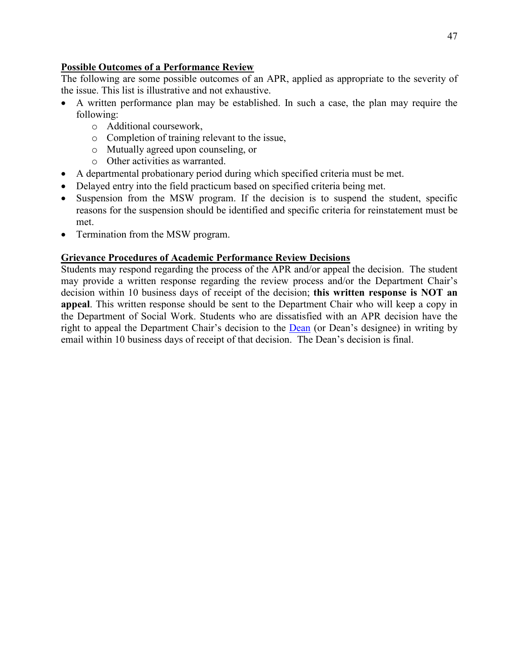#### **Possible Outcomes of a Performance Review**

The following are some possible outcomes of an APR, applied as appropriate to the severity of the issue. This list is illustrative and not exhaustive.

- A written performance plan may be established. In such a case, the plan may require the following:
	- o Additional coursework,
	- o Completion of training relevant to the issue,
	- o Mutually agreed upon counseling, or
	- o Other activities as warranted.
- A departmental probationary period during which specified criteria must be met.
- Delayed entry into the field practicum based on specified criteria being met.
- Suspension from the MSW program. If the decision is to suspend the student, specific reasons for the suspension should be identified and specific criteria for reinstatement must be met.
- Termination from the MSW program.

#### **Grievance Procedures of Academic Performance Review Decisions**

Students may respond regarding the process of the APR and/or appeal the decision. The student may provide a written response regarding the review process and/or the Department Chair's decision within 10 business days of receipt of the decision; **this written response is NOT an appeal**. This written response should be sent to the Department Chair who will keep a copy in the Department of Social Work. Students who are dissatisfied with an APR decision have the right to appeal the Department Chair's decision to the [Dean](https://healthsciences.appstate.edu/about-college/office-dean) (or Dean's designee) in writing by email within 10 business days of receipt of that decision. The Dean's decision is final.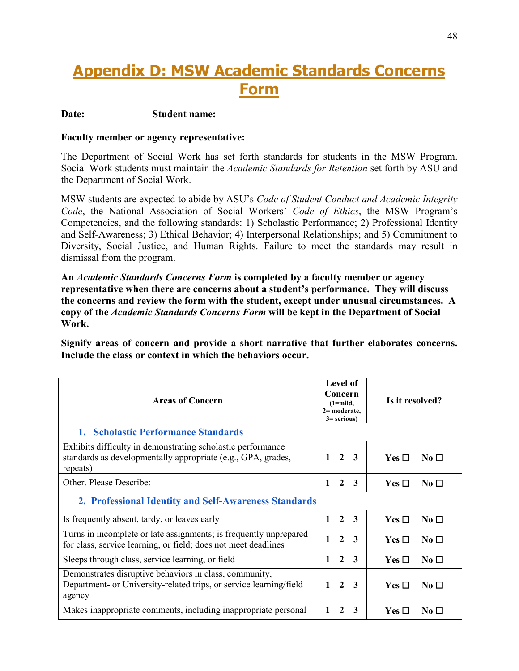# <span id="page-47-0"></span>**Appendix D: MSW Academic Standards Concerns Form**

#### **Date: Student name:**

#### **Faculty member or agency representative:**

The Department of Social Work has set forth standards for students in the MSW Program. Social Work students must maintain the *Academic Standards for Retention* set forth by ASU and the Department of Social Work.

MSW students are expected to abide by ASU's *Code of Student Conduct and Academic Integrity Code*, the National Association of Social Workers' *Code of Ethics*, the MSW Program's Competencies, and the following standards: 1) Scholastic Performance; 2) Professional Identity and Self-Awareness; 3) Ethical Behavior; 4) Interpersonal Relationships; and 5) Commitment to Diversity, Social Justice, and Human Rights. Failure to meet the standards may result in dismissal from the program.

**An** *Academic Standards Concerns Form* **is completed by a faculty member or agency representative when there are concerns about a student's performance. They will discuss the concerns and review the form with the student, except under unusual circumstances. A copy of the** *Academic Standards Concerns Form* **will be kept in the Department of Social Work.**

**Signify areas of concern and provide a short narrative that further elaborates concerns. Include the class or context in which the behaviors occur.**

| <b>Areas of Concern</b>                                                                                                                 | Level of<br>Concern<br>$(1=mid,$<br>$2=$ moderate,<br>$3 =$ serious) | Is it resolved?                       |  |
|-----------------------------------------------------------------------------------------------------------------------------------------|----------------------------------------------------------------------|---------------------------------------|--|
| 1. Scholastic Performance Standards                                                                                                     |                                                                      |                                       |  |
| Exhibits difficulty in demonstrating scholastic performance<br>standards as developmentally appropriate (e.g., GPA, grades,<br>repeats) | $\mathbf{2}$<br>-3<br>1                                              | $Yes \Box$<br>No $\Box$               |  |
| Other. Please Describe:                                                                                                                 | 2<br>3                                                               | $\rm No~\Box$<br>$Yes \Box$           |  |
| 2. Professional Identity and Self-Awareness Standards                                                                                   |                                                                      |                                       |  |
| Is frequently absent, tardy, or leaves early                                                                                            | 2 3<br>$\mathbf{1}$                                                  | $\rm No~\Box$<br>$Yes \Box$           |  |
| Turns in incomplete or late assignments; is frequently unprepared<br>for class, service learning, or field; does not meet deadlines     | $\mathbf{2}$<br>$\mathbf{1}$<br>-3                                   | Yes $\Box$<br>$\overline{N_0}$ $\Box$ |  |
| Sleeps through class, service learning, or field                                                                                        | $\mathbf{2}$<br>3<br>1                                               | $Yes \Box$<br>No $\Box$               |  |
| Demonstrates disruptive behaviors in class, community,<br>Department- or University-related trips, or service learning/field<br>agency  | $\mathbf{2}$<br>$\mathbf{1}$<br>-3                                   | Yes $\Box$<br>$\overline{N_0}$ $\Box$ |  |
| Makes inappropriate comments, including inappropriate personal                                                                          | 3<br>2                                                               | $Yes \Box$<br>No $\Box$               |  |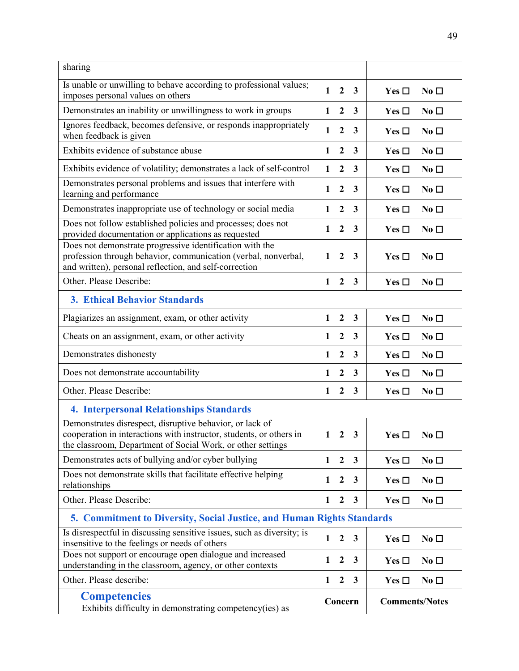| sharing                                                                                                                                                                                        |              |                  |              |                       |                  |
|------------------------------------------------------------------------------------------------------------------------------------------------------------------------------------------------|--------------|------------------|--------------|-----------------------|------------------|
| Is unable or unwilling to behave according to professional values;<br>imposes personal values on others                                                                                        | $\mathbf{1}$ | $\overline{2}$   | $\mathbf{3}$ | Yes $\Box$            | No <sub>1</sub>  |
| Demonstrates an inability or unwillingness to work in groups                                                                                                                                   | $\mathbf{1}$ | $\overline{2}$   | $\mathbf{3}$ | Yes $\square$         | $No \Box$        |
| Ignores feedback, becomes defensive, or responds inappropriately<br>when feedback is given                                                                                                     |              |                  |              | Yes $\square$         | No <sub>1</sub>  |
| Exhibits evidence of substance abuse                                                                                                                                                           | 1            | $\boldsymbol{2}$ | $\mathbf{3}$ | Yes $\square$         | $No\square$      |
| Exhibits evidence of volatility; demonstrates a lack of self-control                                                                                                                           | 1            | $\boldsymbol{2}$ | 3            | Yes $\Box$            | No <sub>D</sub>  |
| Demonstrates personal problems and issues that interfere with<br>learning and performance                                                                                                      | 1            | $\mathbf{2}$     | 3            | Yes $\Box$            | $No \Box$        |
| Demonstrates inappropriate use of technology or social media                                                                                                                                   | 1            | $\mathbf{2}$     | 3            | Yes $\Box$            | $No \Box$        |
| Does not follow established policies and processes; does not<br>provided documentation or applications as requested                                                                            | 1            | $\boldsymbol{2}$ | 3            | Yes $\Box$            | $No \Box$        |
| Does not demonstrate progressive identification with the<br>profession through behavior, communication (verbal, nonverbal,<br>and written), personal reflection, and self-correction           | 1            | $\boldsymbol{2}$ | 3            | Yes $\Box$            | $\rm No~\Box$    |
| Other. Please Describe:                                                                                                                                                                        | $\mathbf{1}$ | $\mathbf{2}$     | $\mathbf{3}$ | Yes $\Box$            | No <sub>D</sub>  |
| <b>3. Ethical Behavior Standards</b>                                                                                                                                                           |              |                  |              |                       |                  |
| Plagiarizes an assignment, exam, or other activity                                                                                                                                             | 1            | $\boldsymbol{2}$ | $\mathbf{3}$ | Yes $\Box$            | $No\square$      |
| Cheats on an assignment, exam, or other activity                                                                                                                                               | 1            | $\boldsymbol{2}$ | $\mathbf{3}$ | Yes $\Box$            | No <sub>1</sub>  |
| Demonstrates dishonesty                                                                                                                                                                        | 1            | $\boldsymbol{2}$ | 3            | Yes $\Box$            | $No \Box$        |
| Does not demonstrate accountability                                                                                                                                                            | 1            | $\boldsymbol{2}$ | $\mathbf{3}$ | Yes $\square$         | No <sub>1</sub>  |
| Other. Please Describe:                                                                                                                                                                        | $\mathbf{1}$ | $\mathbf{2}$     | $\mathbf{3}$ | Yes $\Box$            | No <sub>D</sub>  |
| <b>4. Interpersonal Relationships Standards</b>                                                                                                                                                |              |                  |              |                       |                  |
| Demonstrates disrespect, disruptive behavior, or lack of<br>cooperation in interactions with instructor, students, or others in<br>the classroom, Department of Social Work, or other settings | 1            | $\overline{2}$   | 3            | Yes $\Box$            | $\bf{No}$ $\Box$ |
| Demonstrates acts of bullying and/or cyber bullying                                                                                                                                            | 1            | $\overline{2}$   | $\mathbf{3}$ | Yes $\Box$            | $No \Box$        |
| Does not demonstrate skills that facilitate effective helping<br>relationships                                                                                                                 | 1            | $\boldsymbol{2}$ | $\mathbf{3}$ | Yes $\Box$            | No <sub>D</sub>  |
| Other. Please Describe:                                                                                                                                                                        | 1            | $\mathbf{2}$     | $\mathbf{3}$ | Yes $\Box$            | $No \Box$        |
| 5. Commitment to Diversity, Social Justice, and Human Rights Standards                                                                                                                         |              |                  |              |                       |                  |
| Is disrespectful in discussing sensitive issues, such as diversity; is<br>insensitive to the feelings or needs of others                                                                       | 1            | $\mathbf{2}$     | $\mathbf{3}$ | Yes $\Box$            | $No\square$      |
| Does not support or encourage open dialogue and increased<br>understanding in the classroom, agency, or other contexts                                                                         |              |                  | $\mathbf{3}$ | Yes $\Box$            | $No\square$      |
| Other. Please describe:                                                                                                                                                                        |              |                  | $\mathbf{3}$ | Yes $\square$         | $No\square$      |
| <b>Competencies</b><br>Exhibits difficulty in demonstrating competency(ies) as                                                                                                                 |              | Concern          |              | <b>Comments/Notes</b> |                  |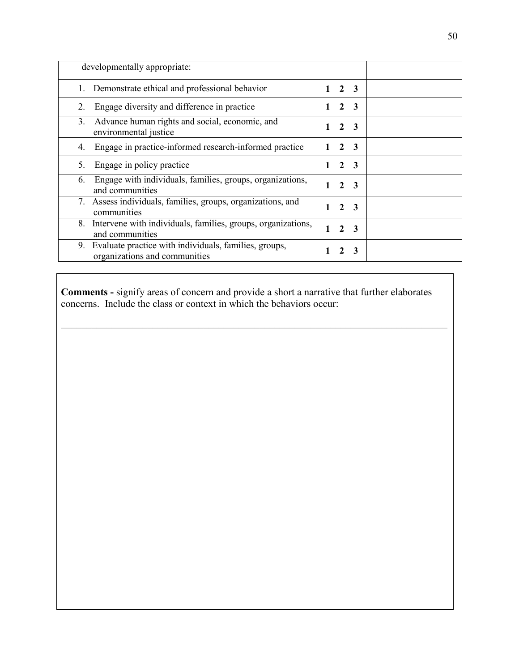| developmentally appropriate:                                                              |               |                  |  |
|-------------------------------------------------------------------------------------------|---------------|------------------|--|
| Demonstrate ethical and professional behavior                                             |               | $2 \quad 3$      |  |
| Engage diversity and difference in practice<br>2.                                         |               | $2 \quad 3$      |  |
| Advance human rights and social, economic, and<br>3.<br>environmental justice             | $2^{\circ}$   | - 3              |  |
| Engage in practice-informed research-informed practice<br>4.                              |               | $2 \overline{3}$ |  |
| Engage in policy practice<br>5.                                                           |               | 2 <sub>3</sub>   |  |
| Engage with individuals, families, groups, organizations,<br>6.<br>and communities        |               | $2 \overline{3}$ |  |
| Assess individuals, families, groups, organizations, and<br>7.<br>communities             |               | $2 \overline{3}$ |  |
| Intervene with individuals, families, groups, organizations,<br>8.<br>and communities     |               | $2 \overline{3}$ |  |
| 9. Evaluate practice with individuals, families, groups,<br>organizations and communities | $\mathcal{L}$ | -3               |  |

**Comments -** signify areas of concern and provide a short a narrative that further elaborates concerns. Include the class or context in which the behaviors occur: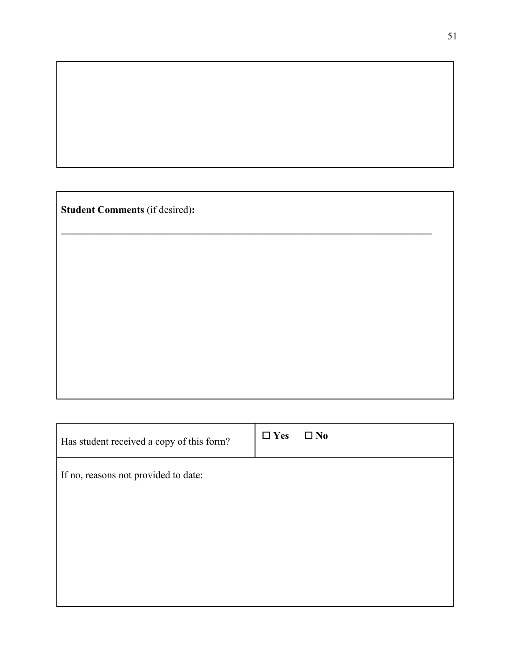**Student Comments** (if desired)**:**

| Has student received a copy of this form? | $\Box$ Yes | $\square$ No |
|-------------------------------------------|------------|--------------|
| If no, reasons not provided to date:      |            |              |
|                                           |            |              |
|                                           |            |              |
|                                           |            |              |
|                                           |            |              |

**\_\_\_\_\_\_\_\_\_\_\_\_\_\_\_\_\_\_\_\_\_\_\_\_\_\_\_\_\_\_\_\_\_\_\_\_\_\_\_\_\_\_\_\_\_\_\_\_\_\_\_\_\_\_\_\_\_\_\_\_\_\_\_\_\_\_\_\_\_\_\_\_\_**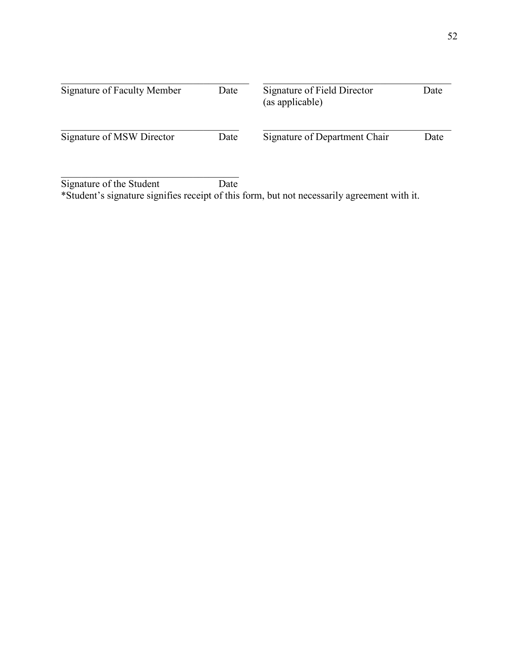| Signature of Faculty Member | Date | Signature of Field Director<br>(as applicable) | Date |
|-----------------------------|------|------------------------------------------------|------|
| Signature of MSW Director   | Date | Signature of Department Chair                  | Date |
| Signature of the Student    | Date |                                                |      |

\*Student's signature signifies receipt of this form, but not necessarily agreement with it.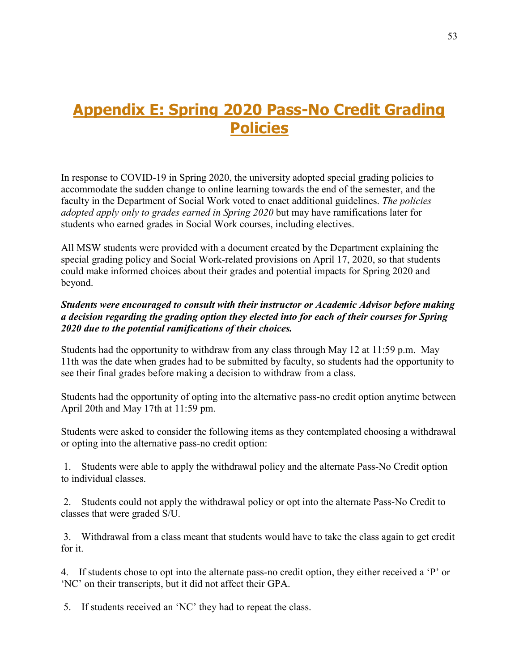# <span id="page-52-0"></span>**Appendix E: Spring 2020 Pass-No Credit Grading Policies**

In response to COVID-19 in Spring 2020, the university adopted special grading policies to accommodate the sudden change to online learning towards the end of the semester, and the faculty in the Department of Social Work voted to enact additional guidelines. *The policies adopted apply only to grades earned in Spring 2020* but may have ramifications later for students who earned grades in Social Work courses, including electives.

All MSW students were provided with a document created by the Department explaining the special grading policy and Social Work-related provisions on April 17, 2020, so that students could make informed choices about their grades and potential impacts for Spring 2020 and beyond.

#### *Students were encouraged to consult with their instructor or Academic Advisor before making a decision regarding the grading option they elected into for each of their courses for Spring 2020 due to the potential ramifications of their choices.*

Students had the opportunity to withdraw from any class through May 12 at 11:59 p.m. May 11th was the date when grades had to be submitted by faculty, so students had the opportunity to see their final grades before making a decision to withdraw from a class.

Students had the opportunity of opting into the alternative pass-no credit option anytime between April 20th and May 17th at 11:59 pm.

Students were asked to consider the following items as they contemplated choosing a withdrawal or opting into the alternative pass-no credit option:

1. Students were able to apply the withdrawal policy and the alternate Pass-No Credit option to individual classes.

2. Students could not apply the withdrawal policy or opt into the alternate Pass-No Credit to classes that were graded S/U.

3. Withdrawal from a class meant that students would have to take the class again to get credit for it.

4. If students chose to opt into the alternate pass-no credit option, they either received a 'P' or 'NC' on their transcripts, but it did not affect their GPA.

5. If students received an 'NC' they had to repeat the class.